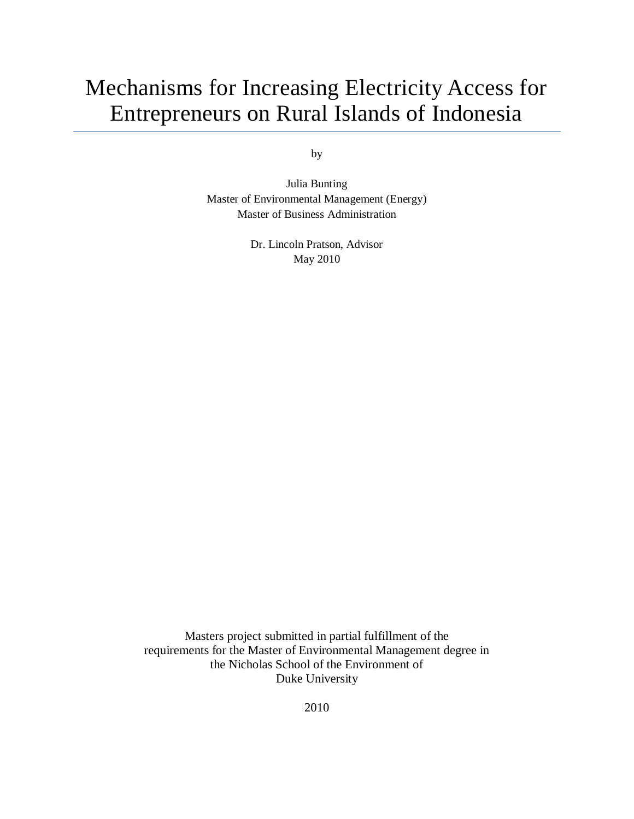# Mechanisms for Increasing Electricity Access for Entrepreneurs on Rural Islands of Indonesia

by

Julia Bunting Master of Environmental Management (Energy) Master of Business Administration

> Dr. Lincoln Pratson, Advisor May 2010

Masters project submitted in partial fulfillment of the requirements for the Master of Environmental Management degree in the Nicholas School of the Environment of Duke University

2010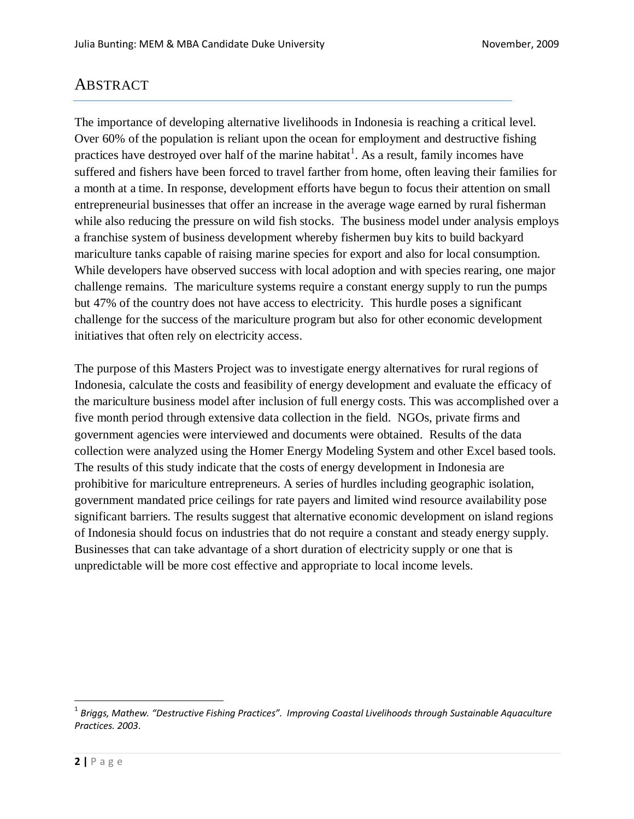## ABSTRACT

The importance of developing alternative livelihoods in Indonesia is reaching a critical level. Over 60% of the population is reliant upon the ocean for employment and destructive fishing practices have destroyed over half of the marine habitat<sup>1</sup>. As a result, family incomes have suffered and fishers have been forced to travel farther from home, often leaving their families for a month at a time. In response, development efforts have begun to focus their attention on small entrepreneurial businesses that offer an increase in the average wage earned by rural fisherman while also reducing the pressure on wild fish stocks. The business model under analysis employs a franchise system of business development whereby fishermen buy kits to build backyard mariculture tanks capable of raising marine species for export and also for local consumption. While developers have observed success with local adoption and with species rearing, one major challenge remains. The mariculture systems require a constant energy supply to run the pumps but 47% of the country does not have access to electricity. This hurdle poses a significant challenge for the success of the mariculture program but also for other economic development initiatives that often rely on electricity access.

The purpose of this Masters Project was to investigate energy alternatives for rural regions of Indonesia, calculate the costs and feasibility of energy development and evaluate the efficacy of the mariculture business model after inclusion of full energy costs. This was accomplished over a five month period through extensive data collection in the field. NGOs, private firms and government agencies were interviewed and documents were obtained. Results of the data collection were analyzed using the Homer Energy Modeling System and other Excel based tools. The results of this study indicate that the costs of energy development in Indonesia are prohibitive for mariculture entrepreneurs. A series of hurdles including geographic isolation, government mandated price ceilings for rate payers and limited wind resource availability pose significant barriers. The results suggest that alternative economic development on island regions of Indonesia should focus on industries that do not require a constant and steady energy supply. Businesses that can take advantage of a short duration of electricity supply or one that is unpredictable will be more cost effective and appropriate to local income levels.

 $\overline{\phantom{a}}$ 

<sup>1</sup> *Briggs, Mathew. "Destructive Fishing Practices". Improving Coastal Livelihoods through Sustainable Aquaculture Practices. 2003*.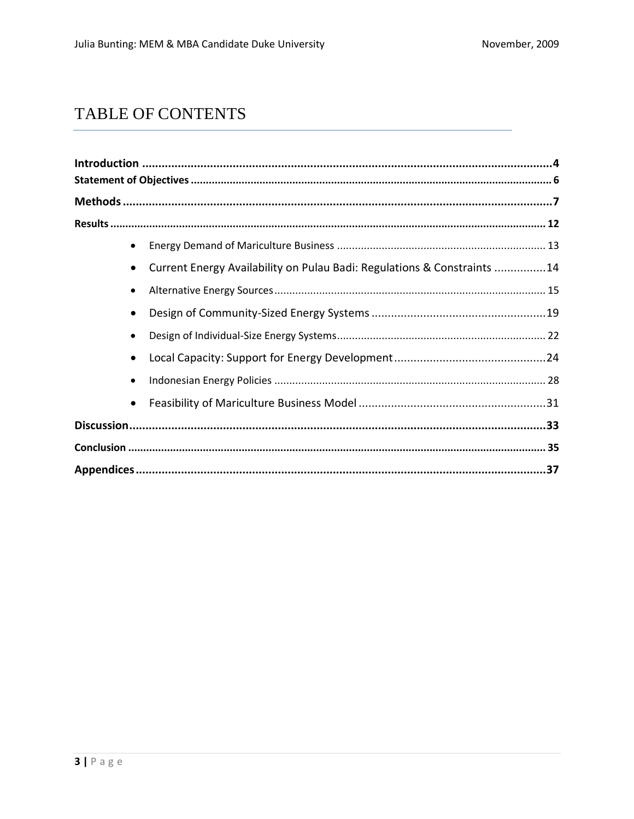## TABLE OF CONTENTS

| Current Energy Availability on Pulau Badi: Regulations & Constraints 14 |  |
|-------------------------------------------------------------------------|--|
|                                                                         |  |
|                                                                         |  |
|                                                                         |  |
|                                                                         |  |
|                                                                         |  |
|                                                                         |  |
|                                                                         |  |
|                                                                         |  |
|                                                                         |  |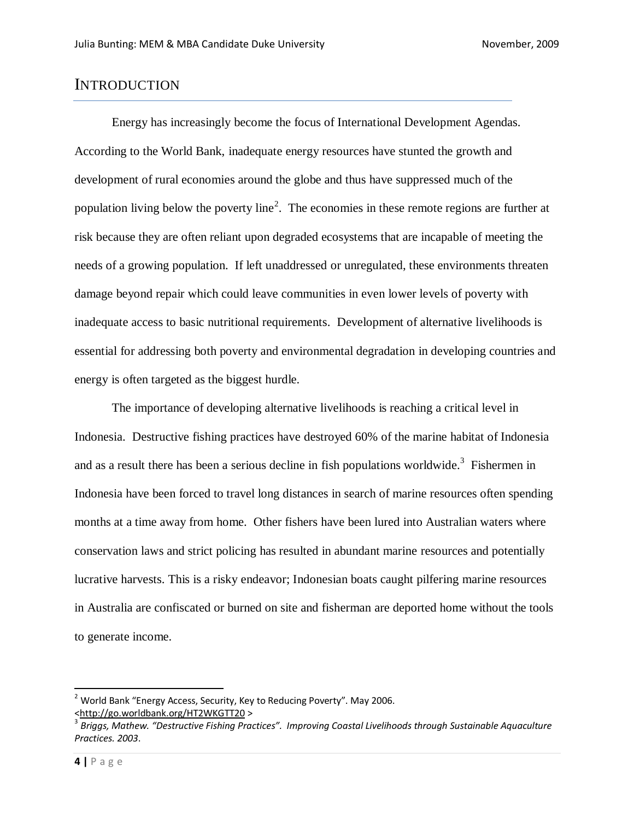## **INTRODUCTION**

Energy has increasingly become the focus of International Development Agendas. According to the World Bank, inadequate energy resources have stunted the growth and development of rural economies around the globe and thus have suppressed much of the population living below the poverty line<sup>2</sup>. The economies in these remote regions are further at risk because they are often reliant upon degraded ecosystems that are incapable of meeting the needs of a growing population. If left unaddressed or unregulated, these environments threaten damage beyond repair which could leave communities in even lower levels of poverty with inadequate access to basic nutritional requirements. Development of alternative livelihoods is essential for addressing both poverty and environmental degradation in developing countries and energy is often targeted as the biggest hurdle.

The importance of developing alternative livelihoods is reaching a critical level in Indonesia. Destructive fishing practices have destroyed 60% of the marine habitat of Indonesia and as a result there has been a serious decline in fish populations worldwide. 3 Fishermen in Indonesia have been forced to travel long distances in search of marine resources often spending months at a time away from home. Other fishers have been lured into Australian waters where conservation laws and strict policing has resulted in abundant marine resources and potentially lucrative harvests. This is a risky endeavor; Indonesian boats caught pilfering marine resources in Australia are confiscated or burned on site and fisherman are deported home without the tools to generate income.

 $\overline{\phantom{a}}$ 

 $2$  World Bank "Energy Access, Security, Key to Reducing Poverty". May 2006. [<http://go.worldbank.org/HT2WKGTT20](http://go.worldbank.org/HT2WKGTT20) >

<sup>3</sup> *Briggs, Mathew. "Destructive Fishing Practices". Improving Coastal Livelihoods through Sustainable Aquaculture Practices. 2003*.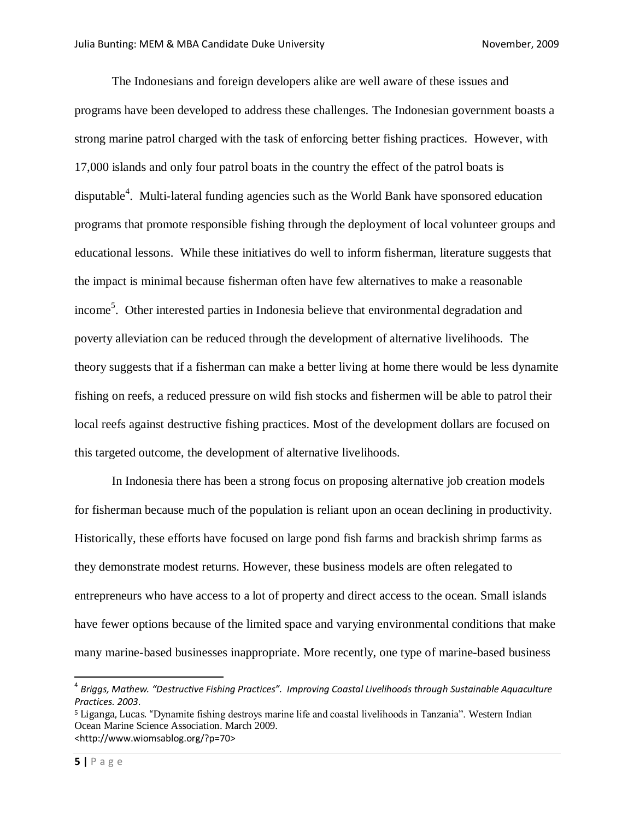The Indonesians and foreign developers alike are well aware of these issues and programs have been developed to address these challenges. The Indonesian government boasts a strong marine patrol charged with the task of enforcing better fishing practices. However, with 17,000 islands and only four patrol boats in the country the effect of the patrol boats is disputable<sup>4</sup>. Multi-lateral funding agencies such as the World Bank have sponsored education programs that promote responsible fishing through the deployment of local volunteer groups and educational lessons. While these initiatives do well to inform fisherman, literature suggests that the impact is minimal because fisherman often have few alternatives to make a reasonable income<sup>5</sup>. Other interested parties in Indonesia believe that environmental degradation and poverty alleviation can be reduced through the development of alternative livelihoods. The theory suggests that if a fisherman can make a better living at home there would be less dynamite fishing on reefs, a reduced pressure on wild fish stocks and fishermen will be able to patrol their local reefs against destructive fishing practices. Most of the development dollars are focused on this targeted outcome, the development of alternative livelihoods.

In Indonesia there has been a strong focus on proposing alternative job creation models for fisherman because much of the population is reliant upon an ocean declining in productivity. Historically, these efforts have focused on large pond fish farms and brackish shrimp farms as they demonstrate modest returns. However, these business models are often relegated to entrepreneurs who have access to a lot of property and direct access to the ocean. Small islands have fewer options because of the limited space and varying environmental conditions that make many marine-based businesses inappropriate. More recently, one type of marine-based business

<sup>5</sup> Liganga, Lucas. "Dynamite fishing destroys marine life and coastal livelihoods in Tanzania". Western Indian Ocean Marine Science Association. March 2009. <http://www.wiomsablog.org/?p=70>

 $\overline{a}$ 

<sup>4</sup> *Briggs, Mathew. "Destructive Fishing Practices". Improving Coastal Livelihoods through Sustainable Aquaculture Practices. 2003*.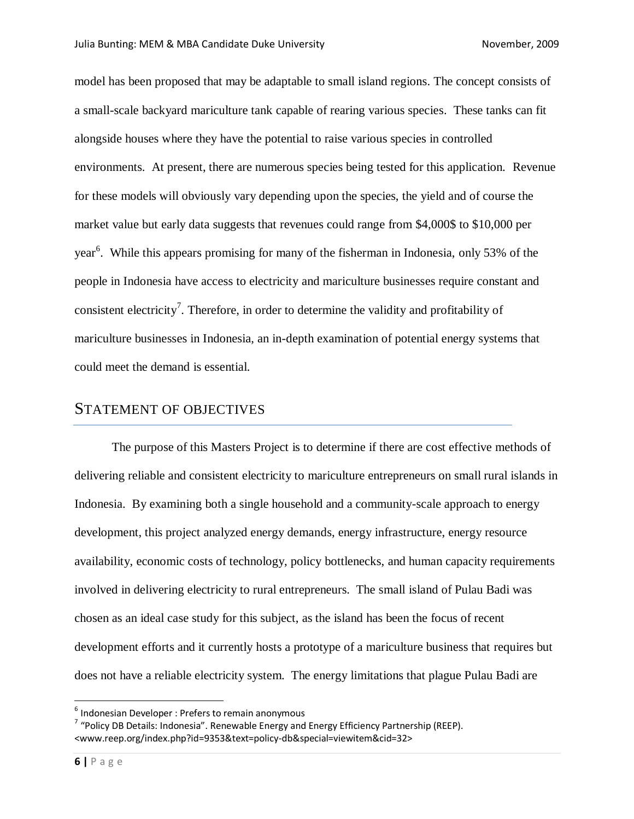model has been proposed that may be adaptable to small island regions. The concept consists of a small-scale backyard mariculture tank capable of rearing various species. These tanks can fit alongside houses where they have the potential to raise various species in controlled environments. At present, there are numerous species being tested for this application. Revenue for these models will obviously vary depending upon the species, the yield and of course the market value but early data suggests that revenues could range from \$4,000\$ to \$10,000 per year<sup>6</sup>. While this appears promising for many of the fisherman in Indonesia, only 53% of the people in Indonesia have access to electricity and mariculture businesses require constant and consistent electricity<sup>7</sup>. Therefore, in order to determine the validity and profitability of mariculture businesses in Indonesia, an in-depth examination of potential energy systems that could meet the demand is essential.

## STATEMENT OF OBJECTIVES

The purpose of this Masters Project is to determine if there are cost effective methods of delivering reliable and consistent electricity to mariculture entrepreneurs on small rural islands in Indonesia. By examining both a single household and a community-scale approach to energy development, this project analyzed energy demands, energy infrastructure, energy resource availability, economic costs of technology, policy bottlenecks, and human capacity requirements involved in delivering electricity to rural entrepreneurs. The small island of Pulau Badi was chosen as an ideal case study for this subject, as the island has been the focus of recent development efforts and it currently hosts a prototype of a mariculture business that requires but does not have a reliable electricity system. The energy limitations that plague Pulau Badi are

 6 Indonesian Developer : Prefers to remain anonymous

<sup>&</sup>lt;sup>7</sup> "Policy DB Details: Indonesia". Renewable Energy and Energy Efficiency Partnership (REEP). <www.reep.org/index.php?id=9353&text=policy-db&special=viewitem&cid=32>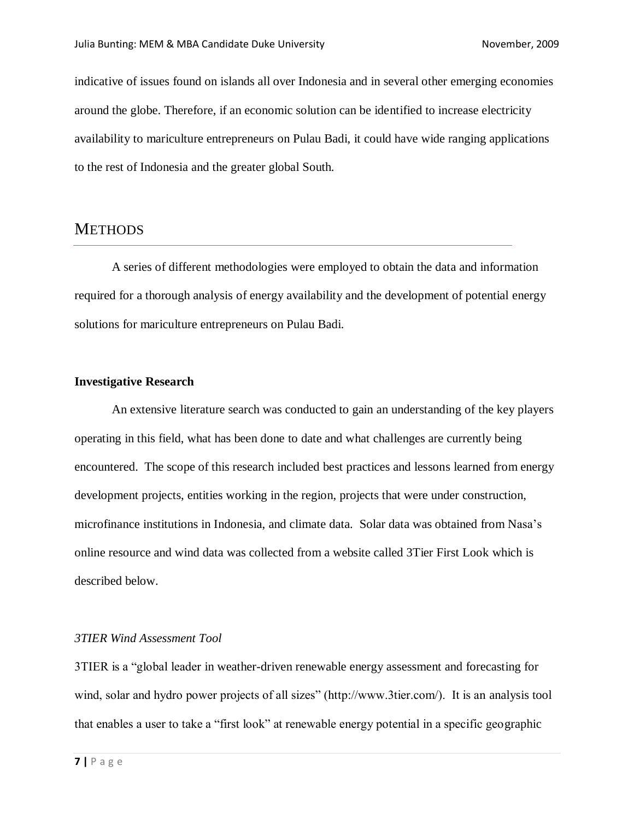indicative of issues found on islands all over Indonesia and in several other emerging economies around the globe. Therefore, if an economic solution can be identified to increase electricity availability to mariculture entrepreneurs on Pulau Badi, it could have wide ranging applications to the rest of Indonesia and the greater global South.

## **METHODS**

A series of different methodologies were employed to obtain the data and information required for a thorough analysis of energy availability and the development of potential energy solutions for mariculture entrepreneurs on Pulau Badi.

#### **Investigative Research**

An extensive literature search was conducted to gain an understanding of the key players operating in this field, what has been done to date and what challenges are currently being encountered. The scope of this research included best practices and lessons learned from energy development projects, entities working in the region, projects that were under construction, microfinance institutions in Indonesia, and climate data. Solar data was obtained from Nasa's online resource and wind data was collected from a website called 3Tier First Look which is described below.

#### *3TIER Wind Assessment Tool*

3TIER is a "global leader in weather-driven renewable energy assessment and forecasting for wind, solar and hydro power projects of all sizes" (http://www.3tier.com/). It is an analysis tool that enables a user to take a "first look" at renewable energy potential in a specific geographic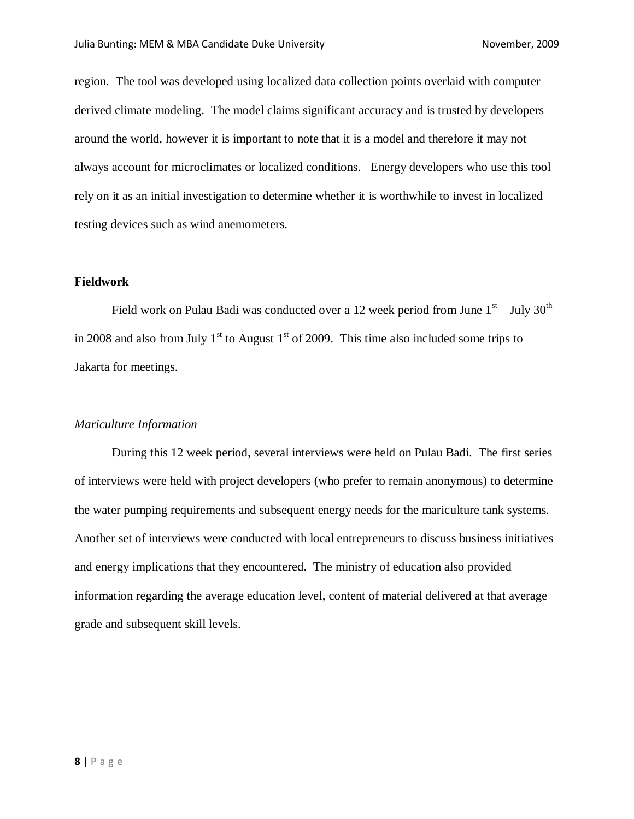region. The tool was developed using localized data collection points overlaid with computer derived climate modeling. The model claims significant accuracy and is trusted by developers around the world, however it is important to note that it is a model and therefore it may not always account for microclimates or localized conditions. Energy developers who use this tool rely on it as an initial investigation to determine whether it is worthwhile to invest in localized testing devices such as wind anemometers.

#### **Fieldwork**

Field work on Pulau Badi was conducted over a 12 week period from June  $1^{\text{st}}$  – July  $30^{\text{th}}$ in 2008 and also from July  $1<sup>st</sup>$  to August  $1<sup>st</sup>$  of 2009. This time also included some trips to Jakarta for meetings.

#### *Mariculture Information*

During this 12 week period, several interviews were held on Pulau Badi. The first series of interviews were held with project developers (who prefer to remain anonymous) to determine the water pumping requirements and subsequent energy needs for the mariculture tank systems. Another set of interviews were conducted with local entrepreneurs to discuss business initiatives and energy implications that they encountered. The ministry of education also provided information regarding the average education level, content of material delivered at that average grade and subsequent skill levels.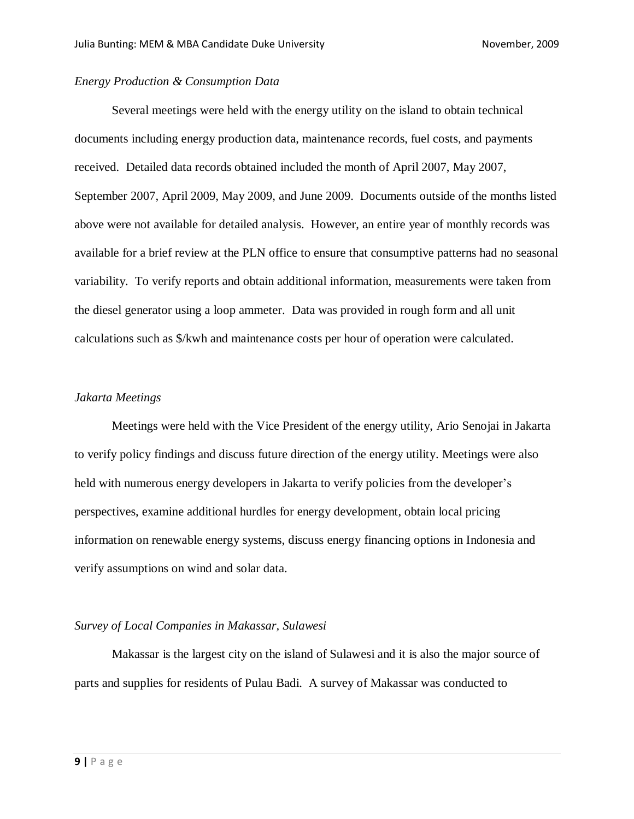#### *Energy Production & Consumption Data*

Several meetings were held with the energy utility on the island to obtain technical documents including energy production data, maintenance records, fuel costs, and payments received. Detailed data records obtained included the month of April 2007, May 2007, September 2007, April 2009, May 2009, and June 2009. Documents outside of the months listed above were not available for detailed analysis. However, an entire year of monthly records was available for a brief review at the PLN office to ensure that consumptive patterns had no seasonal variability. To verify reports and obtain additional information, measurements were taken from the diesel generator using a loop ammeter. Data was provided in rough form and all unit calculations such as \$/kwh and maintenance costs per hour of operation were calculated.

#### *Jakarta Meetings*

Meetings were held with the Vice President of the energy utility, Ario Senojai in Jakarta to verify policy findings and discuss future direction of the energy utility. Meetings were also held with numerous energy developers in Jakarta to verify policies from the developer's perspectives, examine additional hurdles for energy development, obtain local pricing information on renewable energy systems, discuss energy financing options in Indonesia and verify assumptions on wind and solar data.

#### *Survey of Local Companies in Makassar, Sulawesi*

Makassar is the largest city on the island of Sulawesi and it is also the major source of parts and supplies for residents of Pulau Badi. A survey of Makassar was conducted to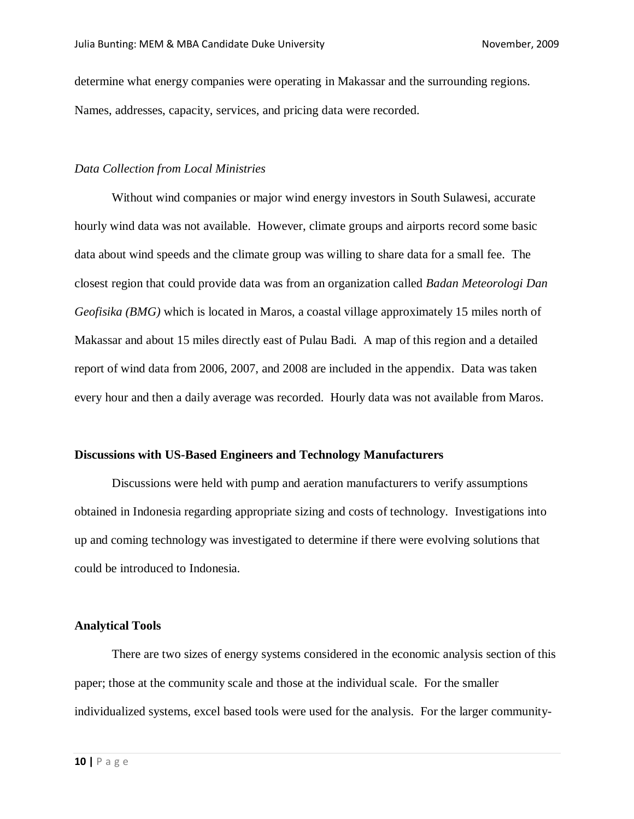determine what energy companies were operating in Makassar and the surrounding regions. Names, addresses, capacity, services, and pricing data were recorded.

#### *Data Collection from Local Ministries*

Without wind companies or major wind energy investors in South Sulawesi, accurate hourly wind data was not available. However, climate groups and airports record some basic data about wind speeds and the climate group was willing to share data for a small fee. The closest region that could provide data was from an organization called *Badan Meteorologi Dan Geofisika (BMG)* which is located in Maros, a coastal village approximately 15 miles north of Makassar and about 15 miles directly east of Pulau Badi. A map of this region and a detailed report of wind data from 2006, 2007, and 2008 are included in the appendix. Data was taken every hour and then a daily average was recorded. Hourly data was not available from Maros.

#### **Discussions with US-Based Engineers and Technology Manufacturers**

Discussions were held with pump and aeration manufacturers to verify assumptions obtained in Indonesia regarding appropriate sizing and costs of technology. Investigations into up and coming technology was investigated to determine if there were evolving solutions that could be introduced to Indonesia.

#### **Analytical Tools**

There are two sizes of energy systems considered in the economic analysis section of this paper; those at the community scale and those at the individual scale. For the smaller individualized systems, excel based tools were used for the analysis. For the larger community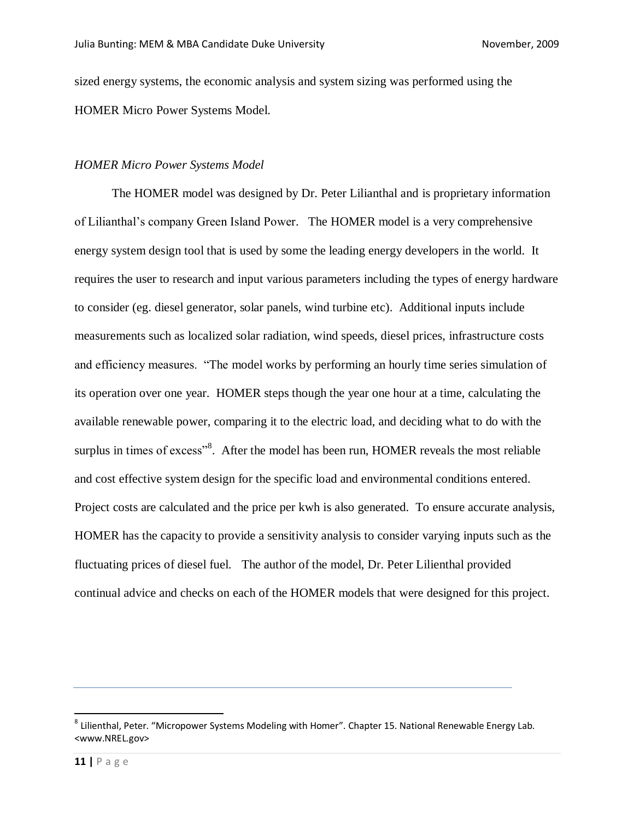sized energy systems, the economic analysis and system sizing was performed using the HOMER Micro Power Systems Model.

#### *HOMER Micro Power Systems Model*

The HOMER model was designed by Dr. Peter Lilianthal and is proprietary information of Lilianthal's company Green Island Power. The HOMER model is a very comprehensive energy system design tool that is used by some the leading energy developers in the world. It requires the user to research and input various parameters including the types of energy hardware to consider (eg. diesel generator, solar panels, wind turbine etc). Additional inputs include measurements such as localized solar radiation, wind speeds, diesel prices, infrastructure costs and efficiency measures. "The model works by performing an hourly time series simulation of its operation over one year. HOMER steps though the year one hour at a time, calculating the available renewable power, comparing it to the electric load, and deciding what to do with the surplus in times of excess"<sup>8</sup>. After the model has been run, HOMER reveals the most reliable and cost effective system design for the specific load and environmental conditions entered. Project costs are calculated and the price per kwh is also generated. To ensure accurate analysis, HOMER has the capacity to provide a sensitivity analysis to consider varying inputs such as the fluctuating prices of diesel fuel. The author of the model, Dr. Peter Lilienthal provided continual advice and checks on each of the HOMER models that were designed for this project.

 $\overline{a}$ 

<sup>&</sup>lt;sup>8</sup> Lilienthal, Peter. "Micropower Systems Modeling with Homer". Chapter 15. National Renewable Energy Lab. <www.NREL.gov>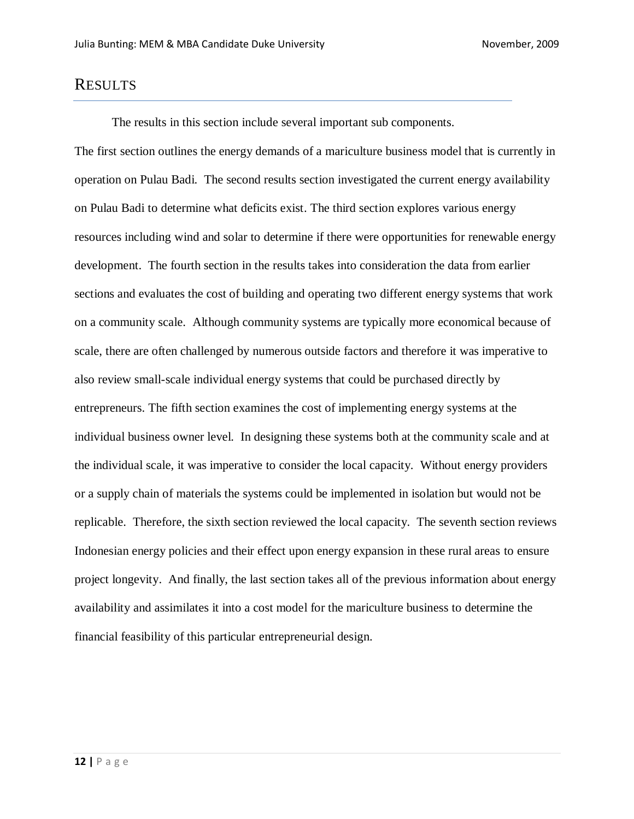## RESULTS

The results in this section include several important sub components.

The first section outlines the energy demands of a mariculture business model that is currently in operation on Pulau Badi. The second results section investigated the current energy availability on Pulau Badi to determine what deficits exist. The third section explores various energy resources including wind and solar to determine if there were opportunities for renewable energy development. The fourth section in the results takes into consideration the data from earlier sections and evaluates the cost of building and operating two different energy systems that work on a community scale. Although community systems are typically more economical because of scale, there are often challenged by numerous outside factors and therefore it was imperative to also review small-scale individual energy systems that could be purchased directly by entrepreneurs. The fifth section examines the cost of implementing energy systems at the individual business owner level. In designing these systems both at the community scale and at the individual scale, it was imperative to consider the local capacity. Without energy providers or a supply chain of materials the systems could be implemented in isolation but would not be replicable. Therefore, the sixth section reviewed the local capacity. The seventh section reviews Indonesian energy policies and their effect upon energy expansion in these rural areas to ensure project longevity. And finally, the last section takes all of the previous information about energy availability and assimilates it into a cost model for the mariculture business to determine the financial feasibility of this particular entrepreneurial design.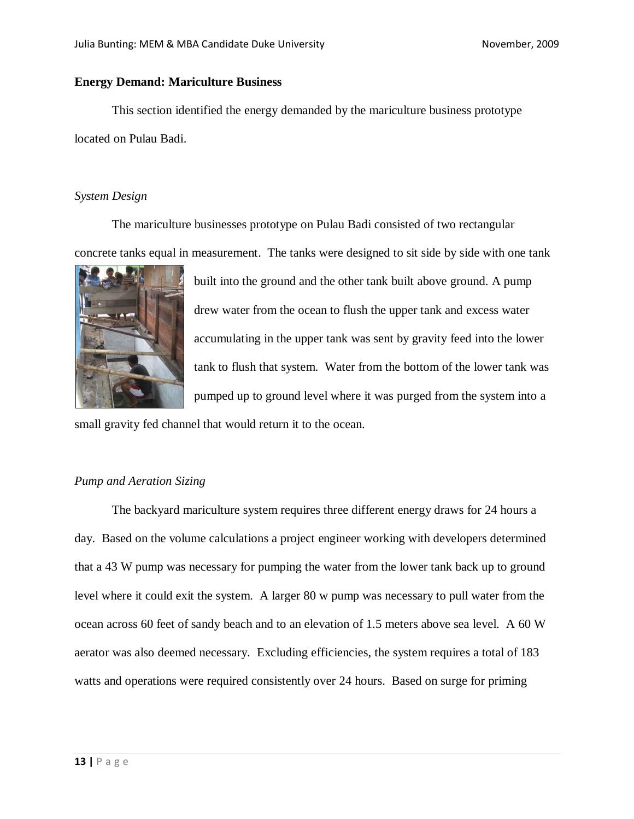#### **Energy Demand: Mariculture Business**

This section identified the energy demanded by the mariculture business prototype located on Pulau Badi.

#### *System Design*

The mariculture businesses prototype on Pulau Badi consisted of two rectangular concrete tanks equal in measurement. The tanks were designed to sit side by side with one tank



built into the ground and the other tank built above ground. A pump drew water from the ocean to flush the upper tank and excess water accumulating in the upper tank was sent by gravity feed into the lower tank to flush that system. Water from the bottom of the lower tank was pumped up to ground level where it was purged from the system into a

small gravity fed channel that would return it to the ocean.

#### *Pump and Aeration Sizing*

The backyard mariculture system requires three different energy draws for 24 hours a day. Based on the volume calculations a project engineer working with developers determined that a 43 W pump was necessary for pumping the water from the lower tank back up to ground level where it could exit the system. A larger 80 w pump was necessary to pull water from the ocean across 60 feet of sandy beach and to an elevation of 1.5 meters above sea level. A 60 W aerator was also deemed necessary. Excluding efficiencies, the system requires a total of 183 watts and operations were required consistently over 24 hours. Based on surge for priming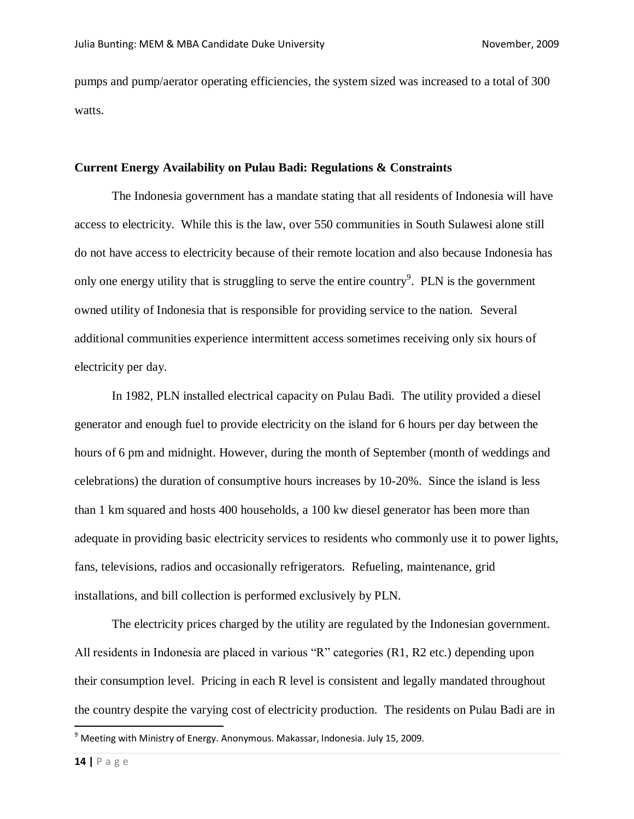pumps and pump/aerator operating efficiencies, the system sized was increased to a total of 300 watts.

#### **Current Energy Availability on Pulau Badi: Regulations & Constraints**

The Indonesia government has a mandate stating that all residents of Indonesia will have access to electricity. While this is the law, over 550 communities in South Sulawesi alone still do not have access to electricity because of their remote location and also because Indonesia has only one energy utility that is struggling to serve the entire country $9$ . PLN is the government owned utility of Indonesia that is responsible for providing service to the nation. Several additional communities experience intermittent access sometimes receiving only six hours of electricity per day.

In 1982, PLN installed electrical capacity on Pulau Badi. The utility provided a diesel generator and enough fuel to provide electricity on the island for 6 hours per day between the hours of 6 pm and midnight. However, during the month of September (month of weddings and celebrations) the duration of consumptive hours increases by 10-20%. Since the island is less than 1 km squared and hosts 400 households, a 100 kw diesel generator has been more than adequate in providing basic electricity services to residents who commonly use it to power lights, fans, televisions, radios and occasionally refrigerators. Refueling, maintenance, grid installations, and bill collection is performed exclusively by PLN.

The electricity prices charged by the utility are regulated by the Indonesian government. All residents in Indonesia are placed in various "R" categories (R1, R2 etc.) depending upon their consumption level. Pricing in each R level is consistent and legally mandated throughout the country despite the varying cost of electricity production. The residents on Pulau Badi are in

 $\overline{\phantom{a}}$ 

 $^9$  Meeting with Ministry of Energy. Anonymous. Makassar, Indonesia. July 15, 2009.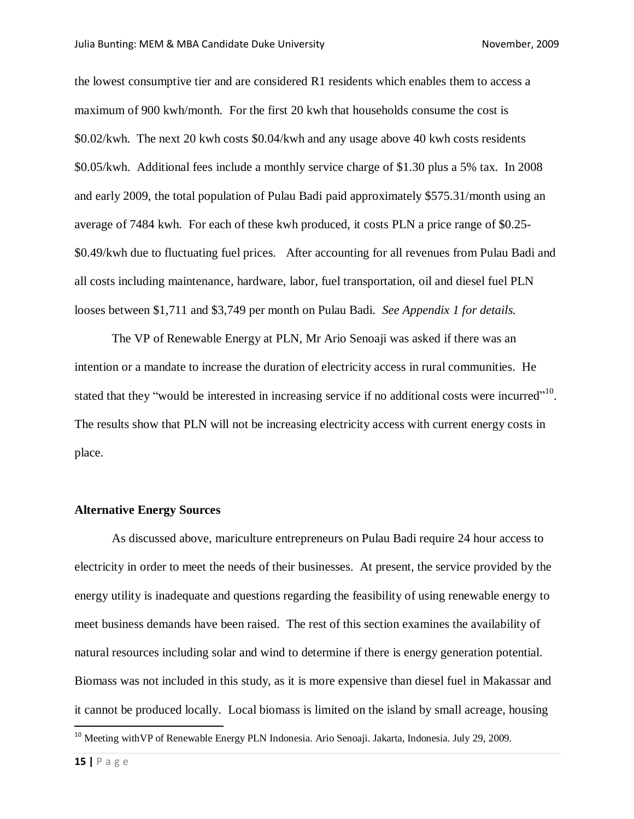the lowest consumptive tier and are considered R1 residents which enables them to access a maximum of 900 kwh/month. For the first 20 kwh that households consume the cost is \$0.02/kwh. The next 20 kwh costs \$0.04/kwh and any usage above 40 kwh costs residents \$0.05/kwh. Additional fees include a monthly service charge of \$1.30 plus a 5% tax. In 2008 and early 2009, the total population of Pulau Badi paid approximately \$575.31/month using an average of 7484 kwh. For each of these kwh produced, it costs PLN a price range of \$0.25- \$0.49/kwh due to fluctuating fuel prices. After accounting for all revenues from Pulau Badi and all costs including maintenance, hardware, labor, fuel transportation, oil and diesel fuel PLN looses between \$1,711 and \$3,749 per month on Pulau Badi. *See Appendix 1 for details.*

The VP of Renewable Energy at PLN, Mr Ario Senoaji was asked if there was an intention or a mandate to increase the duration of electricity access in rural communities. He stated that they "would be interested in increasing service if no additional costs were incurred". The results show that PLN will not be increasing electricity access with current energy costs in place.

#### **Alternative Energy Sources**

As discussed above, mariculture entrepreneurs on Pulau Badi require 24 hour access to electricity in order to meet the needs of their businesses. At present, the service provided by the energy utility is inadequate and questions regarding the feasibility of using renewable energy to meet business demands have been raised. The rest of this section examines the availability of natural resources including solar and wind to determine if there is energy generation potential. Biomass was not included in this study, as it is more expensive than diesel fuel in Makassar and it cannot be produced locally. Local biomass is limited on the island by small acreage, housing

 $\overline{\phantom{a}}$ 

<sup>&</sup>lt;sup>10</sup> Meeting with VP of Renewable Energy PLN Indonesia. Ario Senoaji. Jakarta, Indonesia. July 29, 2009.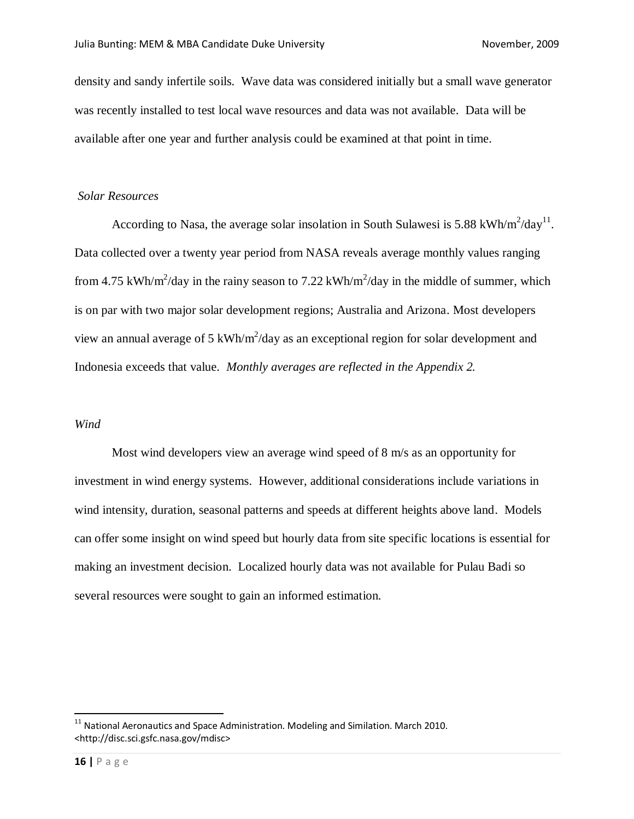density and sandy infertile soils. Wave data was considered initially but a small wave generator was recently installed to test local wave resources and data was not available. Data will be available after one year and further analysis could be examined at that point in time.

#### *Solar Resources*

According to Nasa, the average solar insolation in South Sulawesi is 5.88 kWh/m<sup>2</sup>/day<sup>11</sup>. Data collected over a twenty year period from NASA reveals average monthly values ranging from 4.75 kWh/m<sup>2</sup>/day in the rainy season to 7.22 kWh/m<sup>2</sup>/day in the middle of summer, which is on par with two major solar development regions; Australia and Arizona. Most developers view an annual average of 5 kWh/ $m^2$ /day as an exceptional region for solar development and Indonesia exceeds that value. *Monthly averages are reflected in the Appendix 2.*

#### *Wind*

Most wind developers view an average wind speed of 8 m/s as an opportunity for investment in wind energy systems. However, additional considerations include variations in wind intensity, duration, seasonal patterns and speeds at different heights above land. Models can offer some insight on wind speed but hourly data from site specific locations is essential for making an investment decision. Localized hourly data was not available for Pulau Badi so several resources were sought to gain an informed estimation.

 $\overline{a}$ 

 $^{11}$  National Aeronautics and Space Administration. Modeling and Similation. March 2010. <http://disc.sci.gsfc.nasa.gov/mdisc>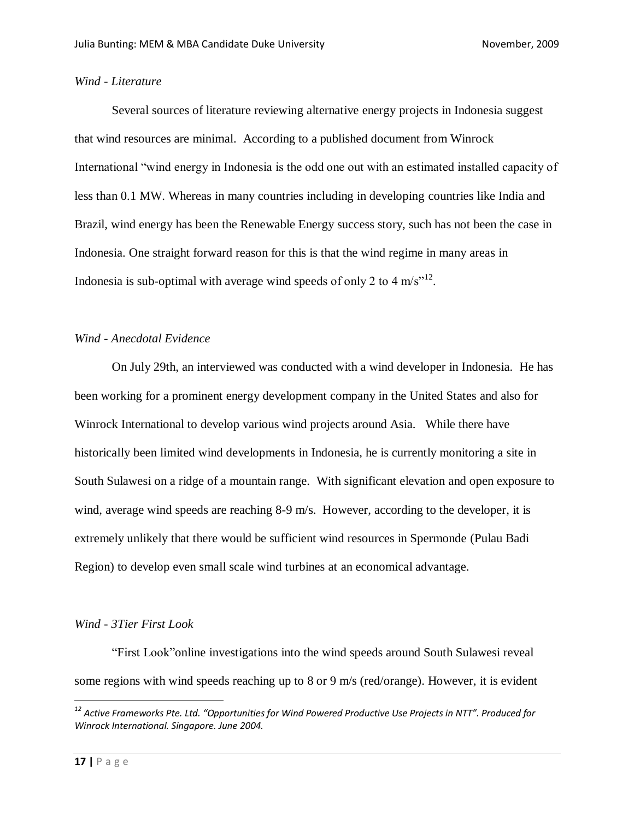#### *Wind - Literature*

Several sources of literature reviewing alternative energy projects in Indonesia suggest that wind resources are minimal. According to a published document from Winrock International "wind energy in Indonesia is the odd one out with an estimated installed capacity of less than 0.1 MW. Whereas in many countries including in developing countries like India and Brazil, wind energy has been the Renewable Energy success story, such has not been the case in Indonesia. One straight forward reason for this is that the wind regime in many areas in Indonesia is sub-optimal with average wind speeds of only 2 to 4 m/s $^{\prime\prime}$ <sup>12</sup>.

#### *Wind - Anecdotal Evidence*

On July 29th, an interviewed was conducted with a wind developer in Indonesia. He has been working for a prominent energy development company in the United States and also for Winrock International to develop various wind projects around Asia. While there have historically been limited wind developments in Indonesia, he is currently monitoring a site in South Sulawesi on a ridge of a mountain range. With significant elevation and open exposure to wind, average wind speeds are reaching 8-9 m/s. However, according to the developer, it is extremely unlikely that there would be sufficient wind resources in Spermonde (Pulau Badi Region) to develop even small scale wind turbines at an economical advantage.

#### *Wind - 3Tier First Look*

"First Look"online investigations into the wind speeds around South Sulawesi reveal some regions with wind speeds reaching up to 8 or 9 m/s (red/orange). However, it is evident

 $\overline{\phantom{a}}$ 

*<sup>12</sup> Active Frameworks Pte. Ltd. "Opportunities for Wind Powered Productive Use Projects in NTT". Produced for Winrock International. Singapore. June 2004.*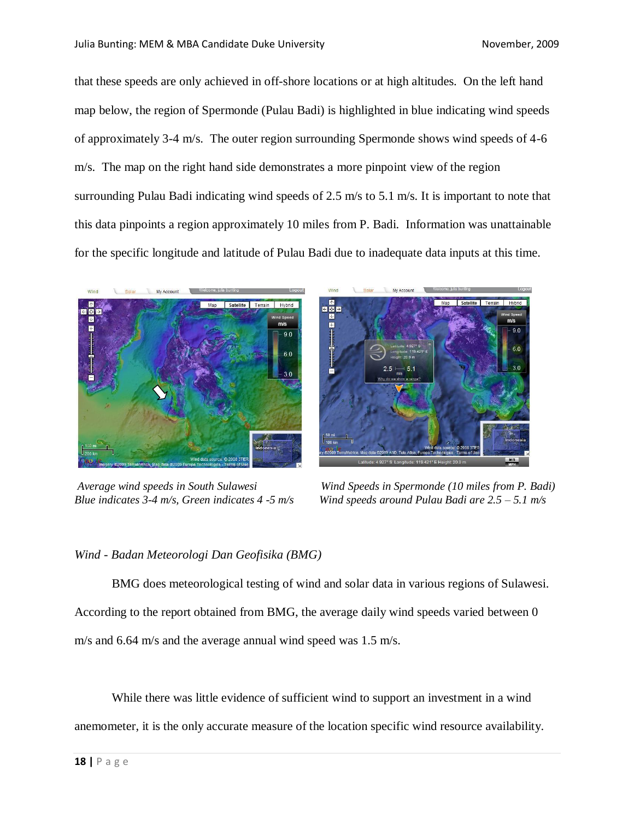that these speeds are only achieved in off-shore locations or at high altitudes. On the left hand map below, the region of Spermonde (Pulau Badi) is highlighted in blue indicating wind speeds of approximately 3-4 m/s. The outer region surrounding Spermonde shows wind speeds of 4-6 m/s. The map on the right hand side demonstrates a more pinpoint view of the region surrounding Pulau Badi indicating wind speeds of 2.5 m/s to 5.1 m/s. It is important to note that this data pinpoints a region approximately 10 miles from P. Badi. Information was unattainable for the specific longitude and latitude of Pulau Badi due to inadequate data inputs at this time.





*Average wind speeds in South Sulawesi Wind Speeds in Spermonde (10 miles from P. Badi) Blue indicates 3-4 m/s, Green indicates 4 -5 m/s Wind speeds around Pulau Badi are 2.5 – 5.1 m/s*

## *Wind - Badan Meteorologi Dan Geofisika (BMG)*

BMG does meteorological testing of wind and solar data in various regions of Sulawesi. According to the report obtained from BMG, the average daily wind speeds varied between 0 m/s and 6.64 m/s and the average annual wind speed was 1.5 m/s.

While there was little evidence of sufficient wind to support an investment in a wind anemometer, it is the only accurate measure of the location specific wind resource availability.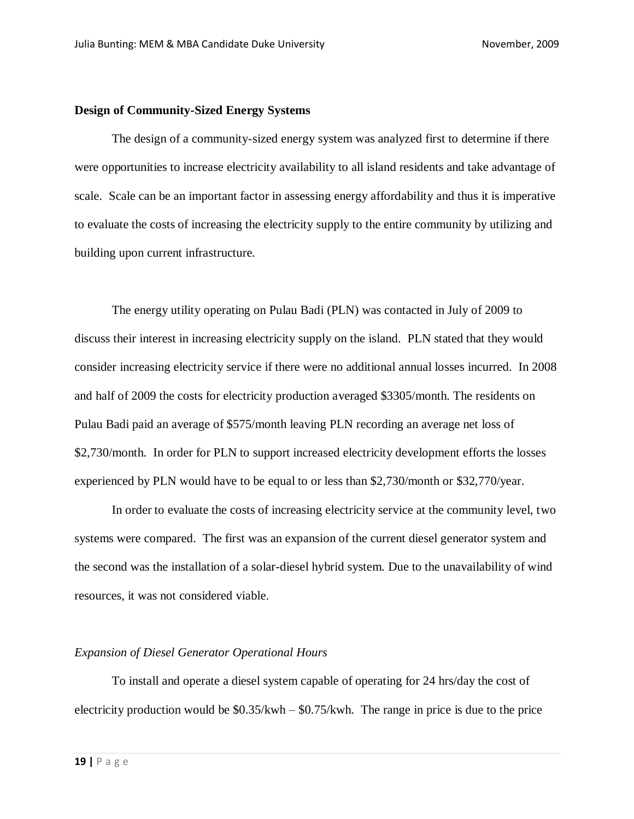#### **Design of Community-Sized Energy Systems**

The design of a community-sized energy system was analyzed first to determine if there were opportunities to increase electricity availability to all island residents and take advantage of scale. Scale can be an important factor in assessing energy affordability and thus it is imperative to evaluate the costs of increasing the electricity supply to the entire community by utilizing and building upon current infrastructure.

The energy utility operating on Pulau Badi (PLN) was contacted in July of 2009 to discuss their interest in increasing electricity supply on the island. PLN stated that they would consider increasing electricity service if there were no additional annual losses incurred. In 2008 and half of 2009 the costs for electricity production averaged \$3305/month. The residents on Pulau Badi paid an average of \$575/month leaving PLN recording an average net loss of \$2,730/month. In order for PLN to support increased electricity development efforts the losses experienced by PLN would have to be equal to or less than \$2,730/month or \$32,770/year.

In order to evaluate the costs of increasing electricity service at the community level, two systems were compared. The first was an expansion of the current diesel generator system and the second was the installation of a solar-diesel hybrid system. Due to the unavailability of wind resources, it was not considered viable.

#### *Expansion of Diesel Generator Operational Hours*

To install and operate a diesel system capable of operating for 24 hrs/day the cost of electricity production would be  $$0.35/kwh - $0.75/kwh$ . The range in price is due to the price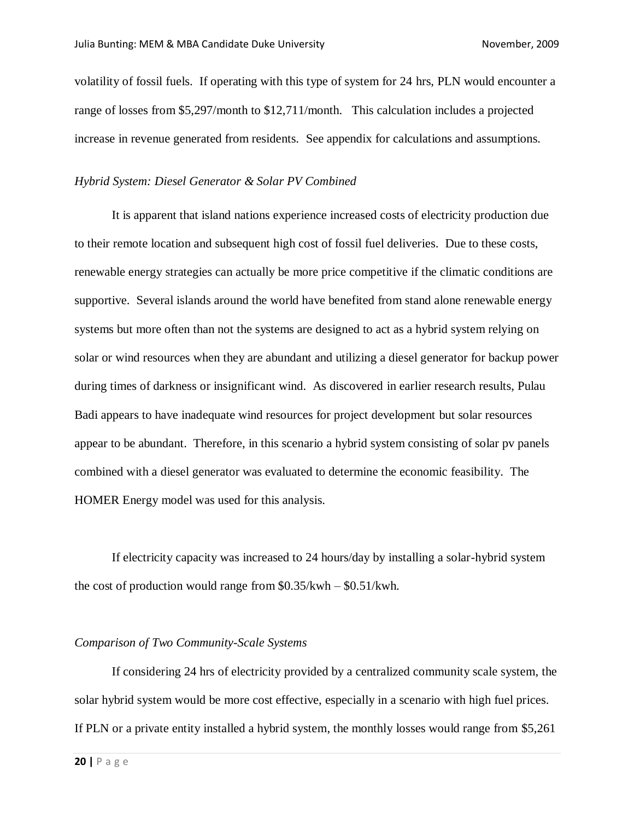volatility of fossil fuels. If operating with this type of system for 24 hrs, PLN would encounter a range of losses from \$5,297/month to \$12,711/month. This calculation includes a projected increase in revenue generated from residents. See appendix for calculations and assumptions.

#### *Hybrid System: Diesel Generator & Solar PV Combined*

It is apparent that island nations experience increased costs of electricity production due to their remote location and subsequent high cost of fossil fuel deliveries. Due to these costs, renewable energy strategies can actually be more price competitive if the climatic conditions are supportive. Several islands around the world have benefited from stand alone renewable energy systems but more often than not the systems are designed to act as a hybrid system relying on solar or wind resources when they are abundant and utilizing a diesel generator for backup power during times of darkness or insignificant wind. As discovered in earlier research results, Pulau Badi appears to have inadequate wind resources for project development but solar resources appear to be abundant. Therefore, in this scenario a hybrid system consisting of solar pv panels combined with a diesel generator was evaluated to determine the economic feasibility. The HOMER Energy model was used for this analysis.

If electricity capacity was increased to 24 hours/day by installing a solar-hybrid system the cost of production would range from  $$0.35/kwh - $0.51/kwh$ .

#### *Comparison of Two Community-Scale Systems*

If considering 24 hrs of electricity provided by a centralized community scale system, the solar hybrid system would be more cost effective, especially in a scenario with high fuel prices. If PLN or a private entity installed a hybrid system, the monthly losses would range from \$5,261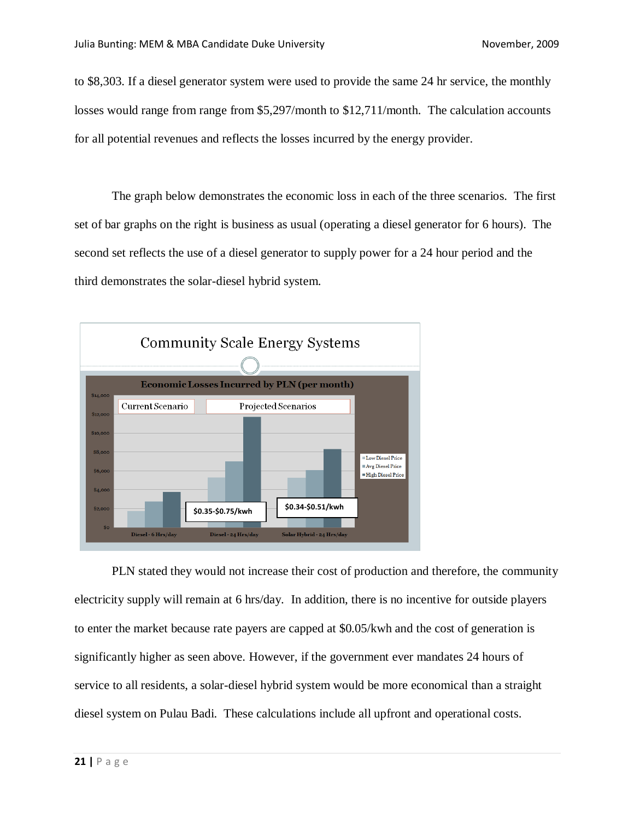to \$8,303. If a diesel generator system were used to provide the same 24 hr service, the monthly losses would range from range from \$5,297/month to \$12,711/month. The calculation accounts for all potential revenues and reflects the losses incurred by the energy provider.

The graph below demonstrates the economic loss in each of the three scenarios. The first set of bar graphs on the right is business as usual (operating a diesel generator for 6 hours). The second set reflects the use of a diesel generator to supply power for a 24 hour period and the third demonstrates the solar-diesel hybrid system.



PLN stated they would not increase their cost of production and therefore, the community electricity supply will remain at 6 hrs/day. In addition, there is no incentive for outside players to enter the market because rate payers are capped at \$0.05/kwh and the cost of generation is significantly higher as seen above. However, if the government ever mandates 24 hours of service to all residents, a solar-diesel hybrid system would be more economical than a straight diesel system on Pulau Badi. These calculations include all upfront and operational costs.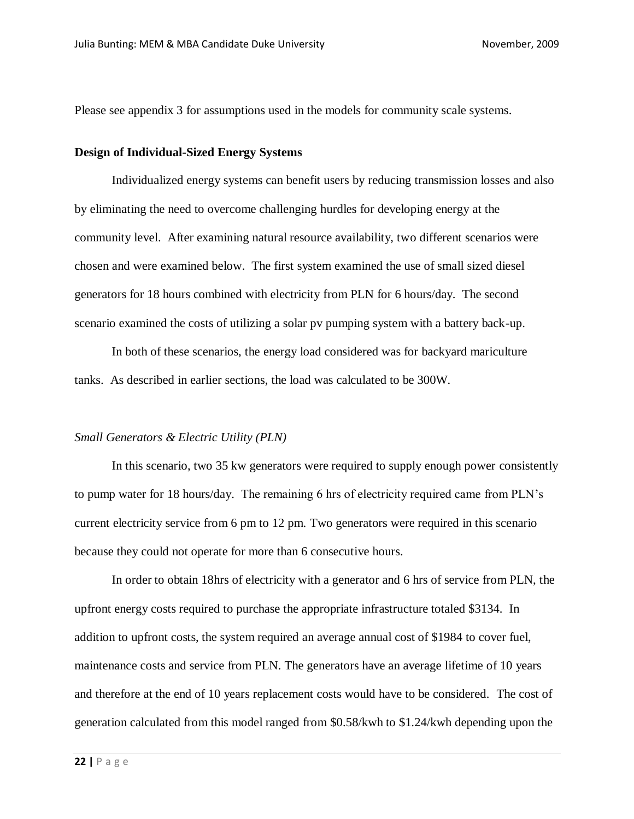Please see appendix 3 for assumptions used in the models for community scale systems.

#### **Design of Individual-Sized Energy Systems**

Individualized energy systems can benefit users by reducing transmission losses and also by eliminating the need to overcome challenging hurdles for developing energy at the community level. After examining natural resource availability, two different scenarios were chosen and were examined below. The first system examined the use of small sized diesel generators for 18 hours combined with electricity from PLN for 6 hours/day. The second scenario examined the costs of utilizing a solar pv pumping system with a battery back-up.

In both of these scenarios, the energy load considered was for backyard mariculture tanks. As described in earlier sections, the load was calculated to be 300W.

#### *Small Generators & Electric Utility (PLN)*

In this scenario, two 35 kw generators were required to supply enough power consistently to pump water for 18 hours/day. The remaining 6 hrs of electricity required came from PLN's current electricity service from 6 pm to 12 pm. Two generators were required in this scenario because they could not operate for more than 6 consecutive hours.

In order to obtain 18hrs of electricity with a generator and 6 hrs of service from PLN, the upfront energy costs required to purchase the appropriate infrastructure totaled \$3134. In addition to upfront costs, the system required an average annual cost of \$1984 to cover fuel, maintenance costs and service from PLN. The generators have an average lifetime of 10 years and therefore at the end of 10 years replacement costs would have to be considered. The cost of generation calculated from this model ranged from \$0.58/kwh to \$1.24/kwh depending upon the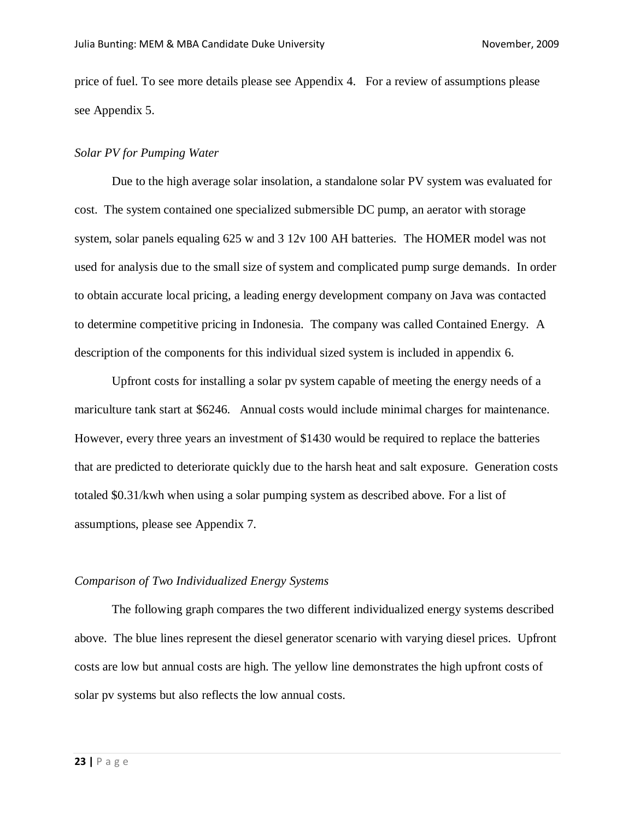price of fuel. To see more details please see Appendix 4.For a review of assumptions please see Appendix 5.

#### *Solar PV for Pumping Water*

Due to the high average solar insolation, a standalone solar PV system was evaluated for cost. The system contained one specialized submersible DC pump, an aerator with storage system, solar panels equaling 625 w and 3 12v 100 AH batteries. The HOMER model was not used for analysis due to the small size of system and complicated pump surge demands. In order to obtain accurate local pricing, a leading energy development company on Java was contacted to determine competitive pricing in Indonesia. The company was called Contained Energy. A description of the components for this individual sized system is included in appendix 6.

Upfront costs for installing a solar pv system capable of meeting the energy needs of a mariculture tank start at \$6246. Annual costs would include minimal charges for maintenance. However, every three years an investment of \$1430 would be required to replace the batteries that are predicted to deteriorate quickly due to the harsh heat and salt exposure. Generation costs totaled \$0.31/kwh when using a solar pumping system as described above. For a list of assumptions, please see Appendix 7.

#### *Comparison of Two Individualized Energy Systems*

The following graph compares the two different individualized energy systems described above. The blue lines represent the diesel generator scenario with varying diesel prices. Upfront costs are low but annual costs are high. The yellow line demonstrates the high upfront costs of solar pv systems but also reflects the low annual costs.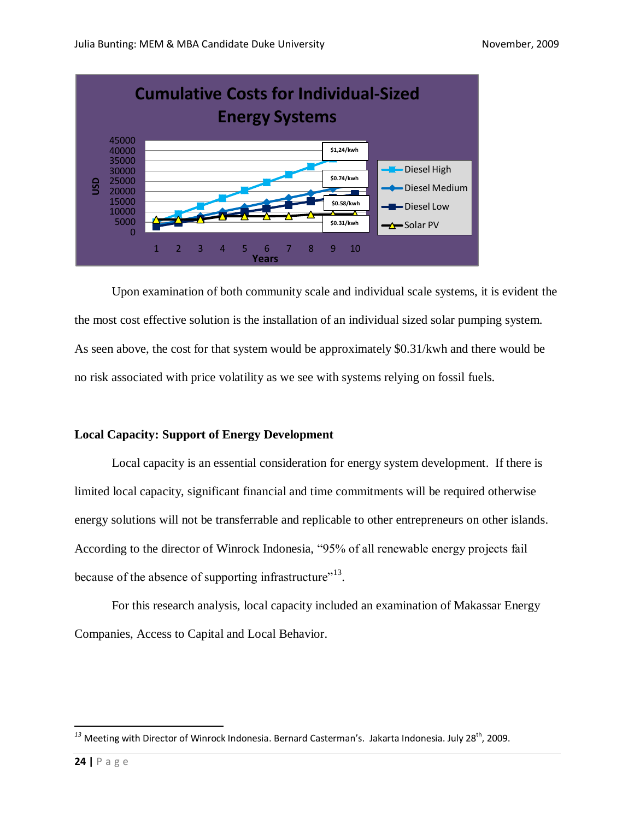

Upon examination of both community scale and individual scale systems, it is evident the the most cost effective solution is the installation of an individual sized solar pumping system. As seen above, the cost for that system would be approximately \$0.31/kwh and there would be no risk associated with price volatility as we see with systems relying on fossil fuels.

#### **Local Capacity: Support of Energy Development**

Local capacity is an essential consideration for energy system development. If there is limited local capacity, significant financial and time commitments will be required otherwise energy solutions will not be transferrable and replicable to other entrepreneurs on other islands. According to the director of Winrock Indonesia, "95% of all renewable energy projects fail because of the absence of supporting infrastructure"<sup>13</sup>.

For this research analysis, local capacity included an examination of Makassar Energy Companies, Access to Capital and Local Behavior.

 $\overline{\phantom{a}}$ 

<sup>&</sup>lt;sup>13</sup> Meeting with Director of Winrock Indonesia. Bernard Casterman's. Jakarta Indonesia. July 28<sup>th</sup>, 2009.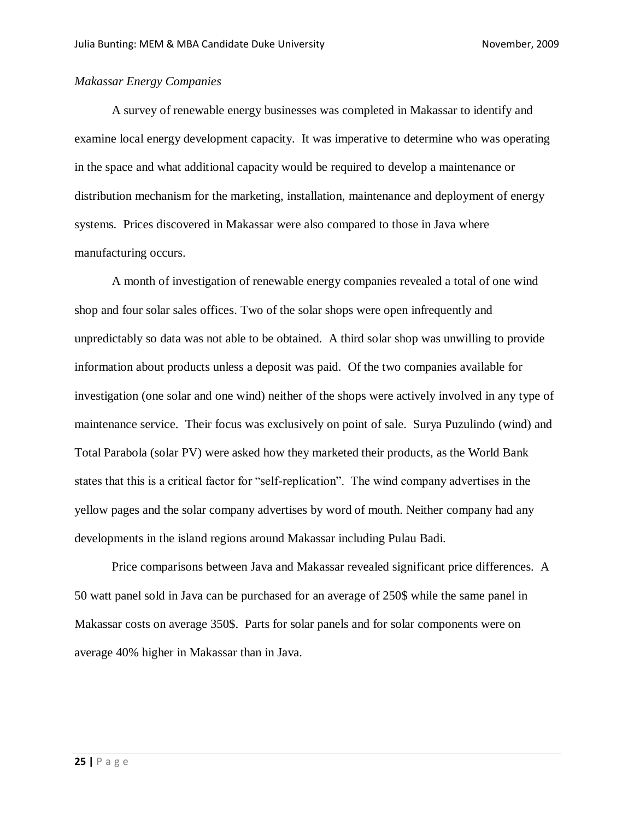#### *Makassar Energy Companies*

A survey of renewable energy businesses was completed in Makassar to identify and examine local energy development capacity. It was imperative to determine who was operating in the space and what additional capacity would be required to develop a maintenance or distribution mechanism for the marketing, installation, maintenance and deployment of energy systems. Prices discovered in Makassar were also compared to those in Java where manufacturing occurs.

A month of investigation of renewable energy companies revealed a total of one wind shop and four solar sales offices. Two of the solar shops were open infrequently and unpredictably so data was not able to be obtained. A third solar shop was unwilling to provide information about products unless a deposit was paid. Of the two companies available for investigation (one solar and one wind) neither of the shops were actively involved in any type of maintenance service. Their focus was exclusively on point of sale. Surya Puzulindo (wind) and Total Parabola (solar PV) were asked how they marketed their products, as the World Bank states that this is a critical factor for "self-replication". The wind company advertises in the yellow pages and the solar company advertises by word of mouth. Neither company had any developments in the island regions around Makassar including Pulau Badi.

Price comparisons between Java and Makassar revealed significant price differences. A 50 watt panel sold in Java can be purchased for an average of 250\$ while the same panel in Makassar costs on average 350\$. Parts for solar panels and for solar components were on average 40% higher in Makassar than in Java.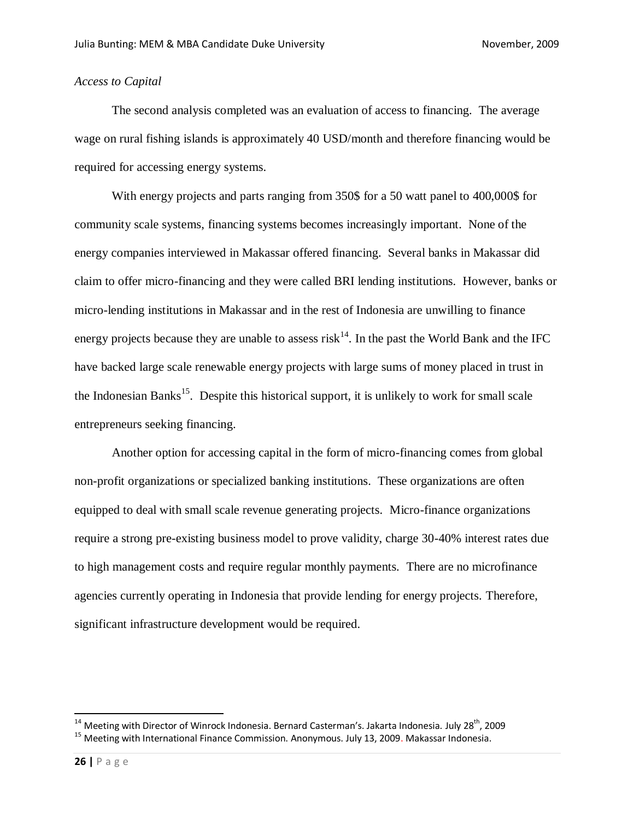#### *Access to Capital*

The second analysis completed was an evaluation of access to financing. The average wage on rural fishing islands is approximately 40 USD/month and therefore financing would be required for accessing energy systems.

With energy projects and parts ranging from 350\$ for a 50 watt panel to 400,000\$ for community scale systems, financing systems becomes increasingly important. None of the energy companies interviewed in Makassar offered financing. Several banks in Makassar did claim to offer micro-financing and they were called BRI lending institutions. However, banks or micro-lending institutions in Makassar and in the rest of Indonesia are unwilling to finance energy projects because they are unable to assess risk<sup>14</sup>. In the past the World Bank and the IFC have backed large scale renewable energy projects with large sums of money placed in trust in the Indonesian Banks<sup>15</sup>. Despite this historical support, it is unlikely to work for small scale entrepreneurs seeking financing.

Another option for accessing capital in the form of micro-financing comes from global non-profit organizations or specialized banking institutions. These organizations are often equipped to deal with small scale revenue generating projects. Micro-finance organizations require a strong pre-existing business model to prove validity, charge 30-40% interest rates due to high management costs and require regular monthly payments. There are no microfinance agencies currently operating in Indonesia that provide lending for energy projects. Therefore, significant infrastructure development would be required.

 $\overline{a}$ 

 $^{14}$  Meeting with Director of Winrock Indonesia. Bernard Casterman's. Jakarta Indonesia. July 28<sup>th</sup>, 2009

<sup>15</sup> Meeting with International Finance Commission. Anonymous. July 13, 2009. Makassar Indonesia.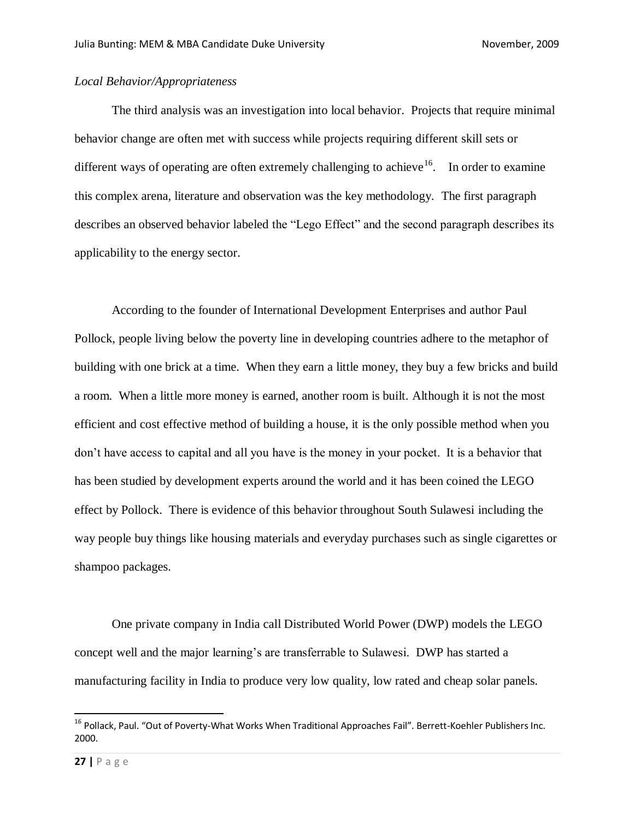#### *Local Behavior/Appropriateness*

The third analysis was an investigation into local behavior. Projects that require minimal behavior change are often met with success while projects requiring different skill sets or different ways of operating are often extremely challenging to achieve  $16$ . In order to examine this complex arena, literature and observation was the key methodology. The first paragraph describes an observed behavior labeled the "Lego Effect" and the second paragraph describes its applicability to the energy sector.

According to the founder of International Development Enterprises and author Paul Pollock, people living below the poverty line in developing countries adhere to the metaphor of building with one brick at a time. When they earn a little money, they buy a few bricks and build a room. When a little more money is earned, another room is built. Although it is not the most efficient and cost effective method of building a house, it is the only possible method when you don't have access to capital and all you have is the money in your pocket. It is a behavior that has been studied by development experts around the world and it has been coined the LEGO effect by Pollock. There is evidence of this behavior throughout South Sulawesi including the way people buy things like housing materials and everyday purchases such as single cigarettes or shampoo packages.

One private company in India call Distributed World Power (DWP) models the LEGO concept well and the major learning's are transferrable to Sulawesi. DWP has started a manufacturing facility in India to produce very low quality, low rated and cheap solar panels.

 $\overline{a}$ 

<sup>&</sup>lt;sup>16</sup> Pollack, Paul. "Out of Poverty-What Works When Traditional Approaches Fail". Berrett-Koehler Publishers Inc. 2000.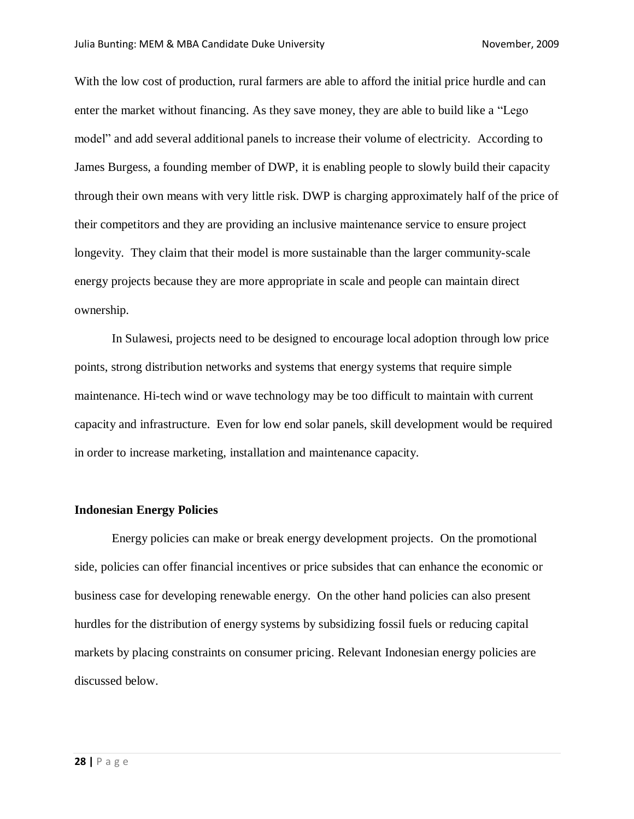With the low cost of production, rural farmers are able to afford the initial price hurdle and can enter the market without financing. As they save money, they are able to build like a "Lego model" and add several additional panels to increase their volume of electricity. According to James Burgess, a founding member of DWP, it is enabling people to slowly build their capacity through their own means with very little risk. DWP is charging approximately half of the price of their competitors and they are providing an inclusive maintenance service to ensure project longevity. They claim that their model is more sustainable than the larger community-scale energy projects because they are more appropriate in scale and people can maintain direct ownership.

In Sulawesi, projects need to be designed to encourage local adoption through low price points, strong distribution networks and systems that energy systems that require simple maintenance. Hi-tech wind or wave technology may be too difficult to maintain with current capacity and infrastructure. Even for low end solar panels, skill development would be required in order to increase marketing, installation and maintenance capacity.

#### **Indonesian Energy Policies**

Energy policies can make or break energy development projects. On the promotional side, policies can offer financial incentives or price subsides that can enhance the economic or business case for developing renewable energy. On the other hand policies can also present hurdles for the distribution of energy systems by subsidizing fossil fuels or reducing capital markets by placing constraints on consumer pricing. Relevant Indonesian energy policies are discussed below.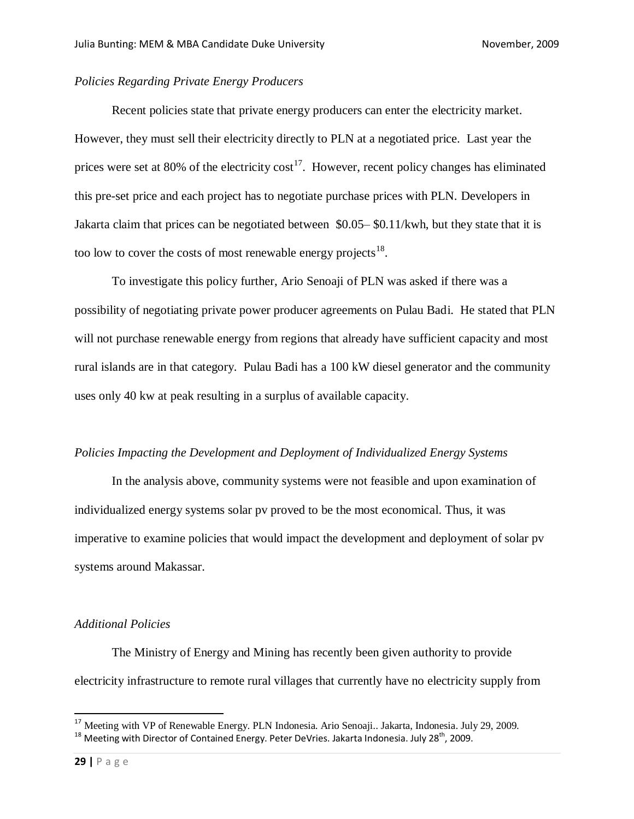#### *Policies Regarding Private Energy Producers*

Recent policies state that private energy producers can enter the electricity market. However, they must sell their electricity directly to PLN at a negotiated price. Last year the prices were set at 80% of the electricity cost<sup>17</sup>. However, recent policy changes has eliminated this pre-set price and each project has to negotiate purchase prices with PLN. Developers in Jakarta claim that prices can be negotiated between \$0.05– \$0.11/kwh, but they state that it is too low to cover the costs of most renewable energy projects<sup>18</sup>.

To investigate this policy further, Ario Senoaji of PLN was asked if there was a possibility of negotiating private power producer agreements on Pulau Badi. He stated that PLN will not purchase renewable energy from regions that already have sufficient capacity and most rural islands are in that category. Pulau Badi has a 100 kW diesel generator and the community uses only 40 kw at peak resulting in a surplus of available capacity.

#### *Policies Impacting the Development and Deployment of Individualized Energy Systems*

In the analysis above, community systems were not feasible and upon examination of individualized energy systems solar pv proved to be the most economical. Thus, it was imperative to examine policies that would impact the development and deployment of solar pv systems around Makassar.

#### *Additional Policies*

The Ministry of Energy and Mining has recently been given authority to provide electricity infrastructure to remote rural villages that currently have no electricity supply from

 $\overline{a}$ 

<sup>&</sup>lt;sup>17</sup> Meeting with VP of Renewable Energy. PLN Indonesia. Ario Senoaji.. Jakarta, Indonesia. July 29, 2009.

 $18$  Meeting with Director of Contained Energy. Peter DeVries. Jakarta Indonesia. July 28<sup>th</sup>, 2009.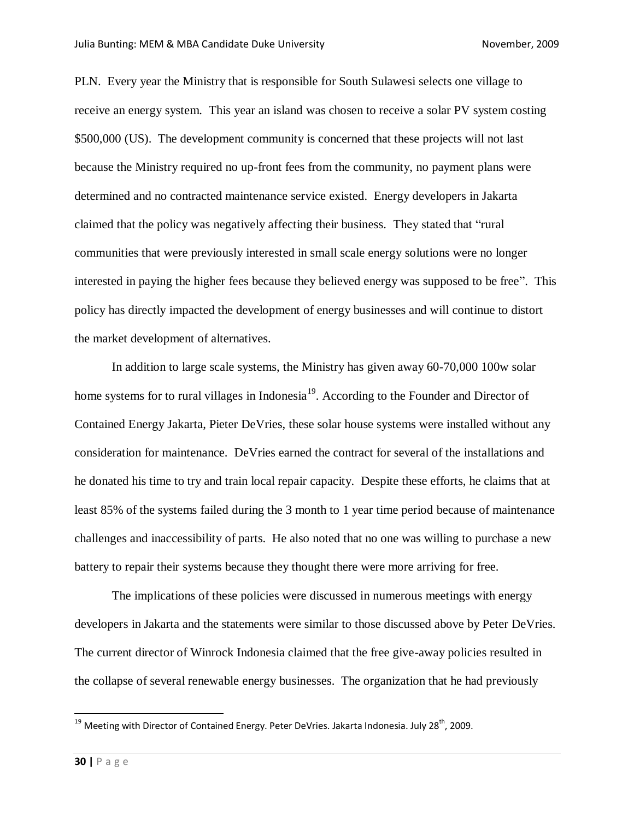PLN. Every year the Ministry that is responsible for South Sulawesi selects one village to receive an energy system. This year an island was chosen to receive a solar PV system costing \$500,000 (US). The development community is concerned that these projects will not last because the Ministry required no up-front fees from the community, no payment plans were determined and no contracted maintenance service existed. Energy developers in Jakarta claimed that the policy was negatively affecting their business. They stated that "rural communities that were previously interested in small scale energy solutions were no longer interested in paying the higher fees because they believed energy was supposed to be free". This policy has directly impacted the development of energy businesses and will continue to distort the market development of alternatives.

In addition to large scale systems, the Ministry has given away 60-70,000 100w solar home systems for to rural villages in Indonesia<sup>19</sup>. According to the Founder and Director of Contained Energy Jakarta, Pieter DeVries, these solar house systems were installed without any consideration for maintenance. DeVries earned the contract for several of the installations and he donated his time to try and train local repair capacity. Despite these efforts, he claims that at least 85% of the systems failed during the 3 month to 1 year time period because of maintenance challenges and inaccessibility of parts. He also noted that no one was willing to purchase a new battery to repair their systems because they thought there were more arriving for free.

The implications of these policies were discussed in numerous meetings with energy developers in Jakarta and the statements were similar to those discussed above by Peter DeVries. The current director of Winrock Indonesia claimed that the free give-away policies resulted in the collapse of several renewable energy businesses. The organization that he had previously

 $\overline{a}$ 

 $^{19}$  Meeting with Director of Contained Energy. Peter DeVries. Jakarta Indonesia. July 28<sup>th</sup>, 2009.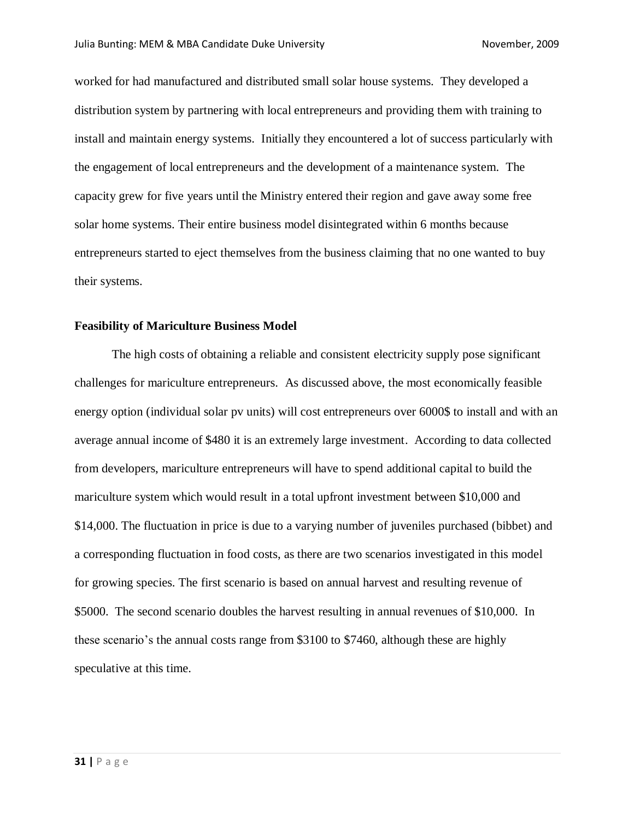worked for had manufactured and distributed small solar house systems. They developed a distribution system by partnering with local entrepreneurs and providing them with training to install and maintain energy systems. Initially they encountered a lot of success particularly with the engagement of local entrepreneurs and the development of a maintenance system. The capacity grew for five years until the Ministry entered their region and gave away some free solar home systems. Their entire business model disintegrated within 6 months because entrepreneurs started to eject themselves from the business claiming that no one wanted to buy their systems.

#### **Feasibility of Mariculture Business Model**

The high costs of obtaining a reliable and consistent electricity supply pose significant challenges for mariculture entrepreneurs. As discussed above, the most economically feasible energy option (individual solar pv units) will cost entrepreneurs over 6000\$ to install and with an average annual income of \$480 it is an extremely large investment. According to data collected from developers, mariculture entrepreneurs will have to spend additional capital to build the mariculture system which would result in a total upfront investment between \$10,000 and \$14,000. The fluctuation in price is due to a varying number of juveniles purchased (bibbet) and a corresponding fluctuation in food costs, as there are two scenarios investigated in this model for growing species. The first scenario is based on annual harvest and resulting revenue of \$5000. The second scenario doubles the harvest resulting in annual revenues of \$10,000. In these scenario's the annual costs range from \$3100 to \$7460, although these are highly speculative at this time.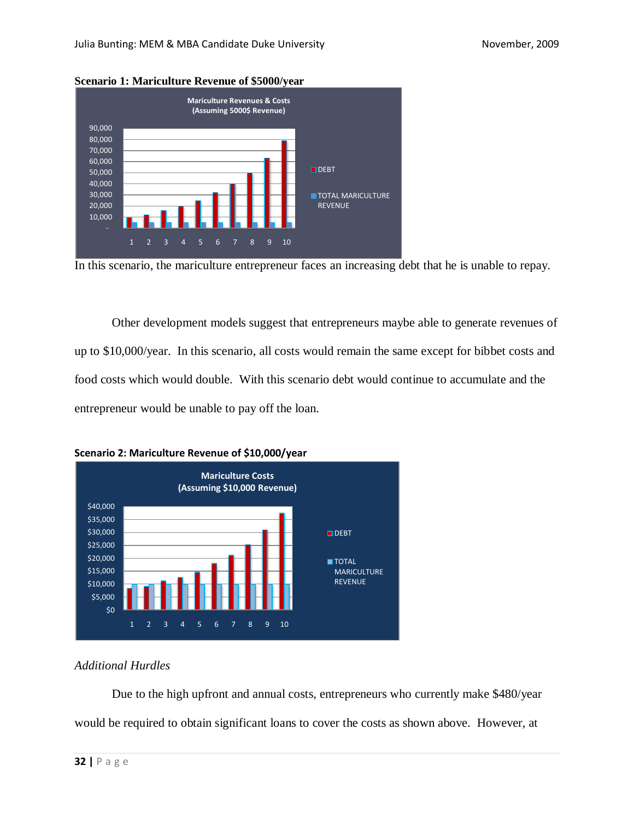



In this scenario, the mariculture entrepreneur faces an increasing debt that he is unable to repay.

Other development models suggest that entrepreneurs maybe able to generate revenues of up to \$10,000/year. In this scenario, all costs would remain the same except for bibbet costs and food costs which would double. With this scenario debt would continue to accumulate and the entrepreneur would be unable to pay off the loan.





## *Additional Hurdles*

Due to the high upfront and annual costs, entrepreneurs who currently make \$480/year would be required to obtain significant loans to cover the costs as shown above. However, at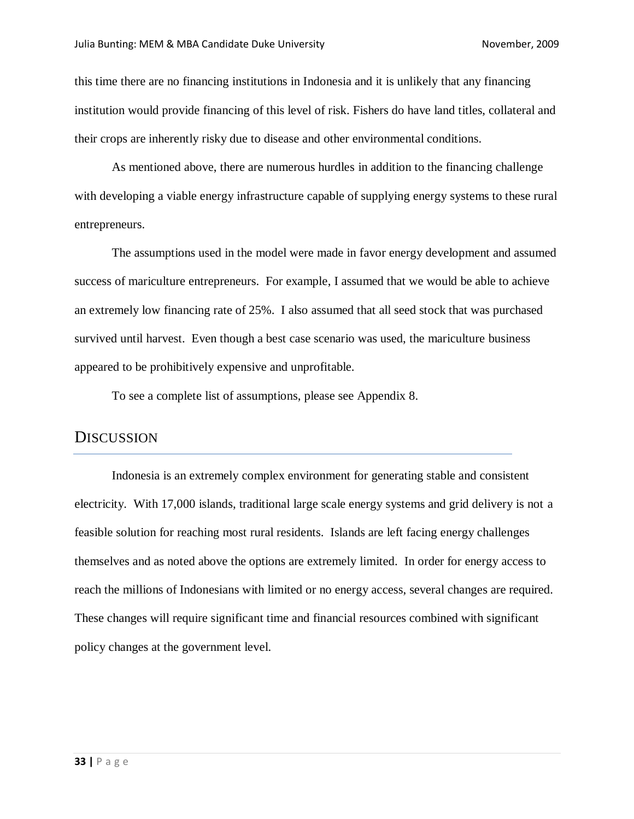this time there are no financing institutions in Indonesia and it is unlikely that any financing institution would provide financing of this level of risk. Fishers do have land titles, collateral and their crops are inherently risky due to disease and other environmental conditions.

As mentioned above, there are numerous hurdles in addition to the financing challenge with developing a viable energy infrastructure capable of supplying energy systems to these rural entrepreneurs.

The assumptions used in the model were made in favor energy development and assumed success of mariculture entrepreneurs. For example, I assumed that we would be able to achieve an extremely low financing rate of 25%. I also assumed that all seed stock that was purchased survived until harvest. Even though a best case scenario was used, the mariculture business appeared to be prohibitively expensive and unprofitable.

To see a complete list of assumptions, please see Appendix 8.

#### **DISCUSSION**

Indonesia is an extremely complex environment for generating stable and consistent electricity. With 17,000 islands, traditional large scale energy systems and grid delivery is not a feasible solution for reaching most rural residents. Islands are left facing energy challenges themselves and as noted above the options are extremely limited. In order for energy access to reach the millions of Indonesians with limited or no energy access, several changes are required. These changes will require significant time and financial resources combined with significant policy changes at the government level.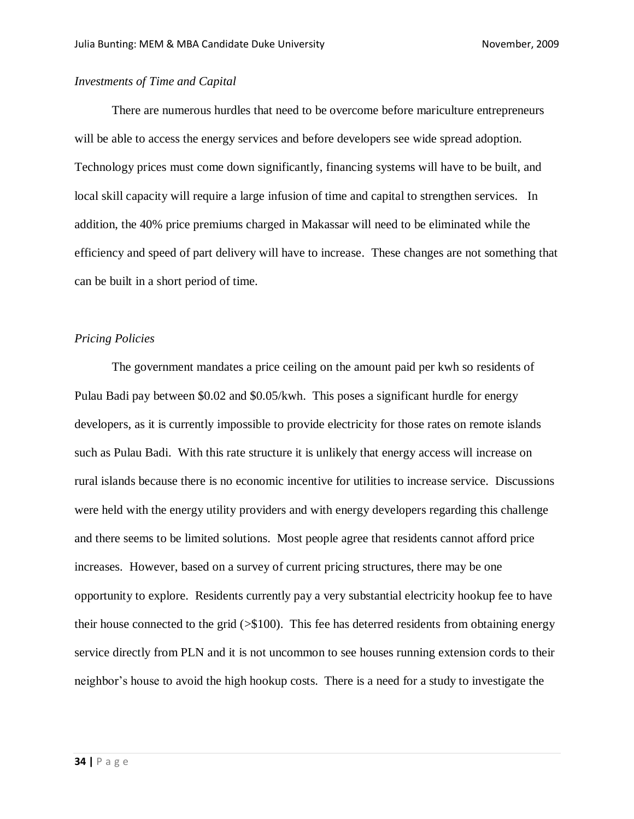#### *Investments of Time and Capital*

There are numerous hurdles that need to be overcome before mariculture entrepreneurs will be able to access the energy services and before developers see wide spread adoption. Technology prices must come down significantly, financing systems will have to be built, and local skill capacity will require a large infusion of time and capital to strengthen services. In addition, the 40% price premiums charged in Makassar will need to be eliminated while the efficiency and speed of part delivery will have to increase. These changes are not something that can be built in a short period of time.

#### *Pricing Policies*

The government mandates a price ceiling on the amount paid per kwh so residents of Pulau Badi pay between \$0.02 and \$0.05/kwh. This poses a significant hurdle for energy developers, as it is currently impossible to provide electricity for those rates on remote islands such as Pulau Badi. With this rate structure it is unlikely that energy access will increase on rural islands because there is no economic incentive for utilities to increase service. Discussions were held with the energy utility providers and with energy developers regarding this challenge and there seems to be limited solutions. Most people agree that residents cannot afford price increases. However, based on a survey of current pricing structures, there may be one opportunity to explore. Residents currently pay a very substantial electricity hookup fee to have their house connected to the grid  $(\geq 100)$ . This fee has deterred residents from obtaining energy service directly from PLN and it is not uncommon to see houses running extension cords to their neighbor's house to avoid the high hookup costs. There is a need for a study to investigate the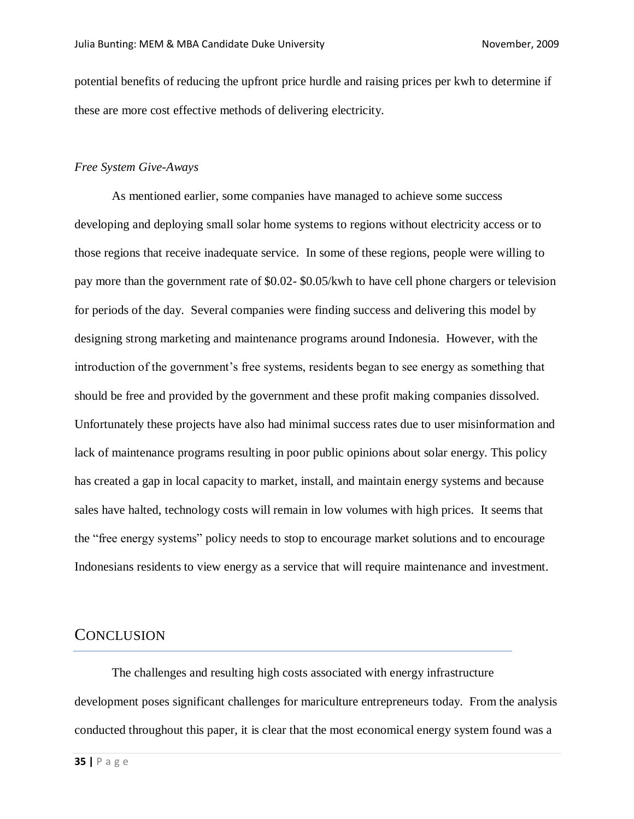potential benefits of reducing the upfront price hurdle and raising prices per kwh to determine if these are more cost effective methods of delivering electricity.

#### *Free System Give-Aways*

As mentioned earlier, some companies have managed to achieve some success developing and deploying small solar home systems to regions without electricity access or to those regions that receive inadequate service. In some of these regions, people were willing to pay more than the government rate of \$0.02- \$0.05/kwh to have cell phone chargers or television for periods of the day. Several companies were finding success and delivering this model by designing strong marketing and maintenance programs around Indonesia. However, with the introduction of the government's free systems, residents began to see energy as something that should be free and provided by the government and these profit making companies dissolved. Unfortunately these projects have also had minimal success rates due to user misinformation and lack of maintenance programs resulting in poor public opinions about solar energy. This policy has created a gap in local capacity to market, install, and maintain energy systems and because sales have halted, technology costs will remain in low volumes with high prices. It seems that the "free energy systems" policy needs to stop to encourage market solutions and to encourage Indonesians residents to view energy as a service that will require maintenance and investment.

#### **CONCLUSION**

The challenges and resulting high costs associated with energy infrastructure development poses significant challenges for mariculture entrepreneurs today. From the analysis conducted throughout this paper, it is clear that the most economical energy system found was a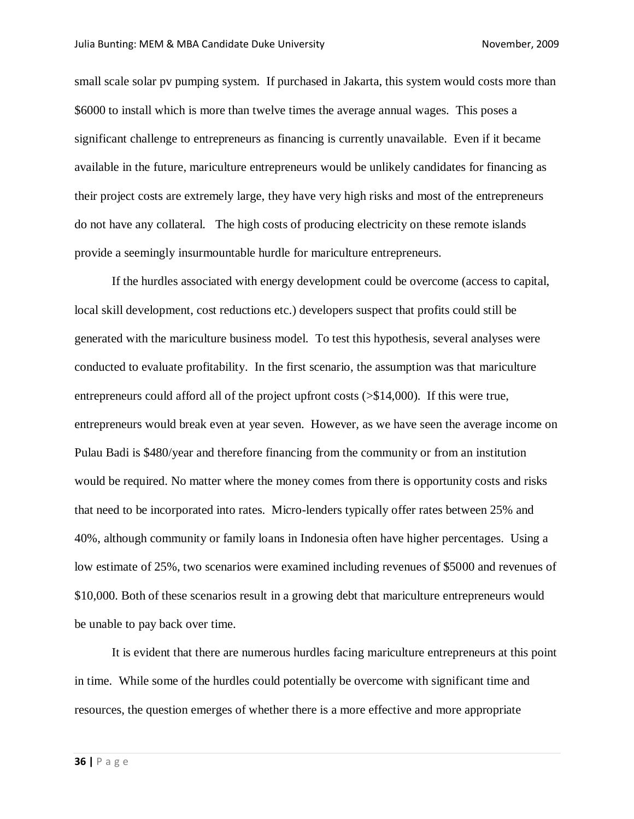small scale solar pv pumping system. If purchased in Jakarta, this system would costs more than \$6000 to install which is more than twelve times the average annual wages. This poses a significant challenge to entrepreneurs as financing is currently unavailable. Even if it became available in the future, mariculture entrepreneurs would be unlikely candidates for financing as their project costs are extremely large, they have very high risks and most of the entrepreneurs do not have any collateral. The high costs of producing electricity on these remote islands provide a seemingly insurmountable hurdle for mariculture entrepreneurs.

If the hurdles associated with energy development could be overcome (access to capital, local skill development, cost reductions etc.) developers suspect that profits could still be generated with the mariculture business model. To test this hypothesis, several analyses were conducted to evaluate profitability. In the first scenario, the assumption was that mariculture entrepreneurs could afford all of the project upfront costs (>\$14,000). If this were true, entrepreneurs would break even at year seven. However, as we have seen the average income on Pulau Badi is \$480/year and therefore financing from the community or from an institution would be required. No matter where the money comes from there is opportunity costs and risks that need to be incorporated into rates. Micro-lenders typically offer rates between 25% and 40%, although community or family loans in Indonesia often have higher percentages. Using a low estimate of 25%, two scenarios were examined including revenues of \$5000 and revenues of \$10,000. Both of these scenarios result in a growing debt that mariculture entrepreneurs would be unable to pay back over time.

It is evident that there are numerous hurdles facing mariculture entrepreneurs at this point in time. While some of the hurdles could potentially be overcome with significant time and resources, the question emerges of whether there is a more effective and more appropriate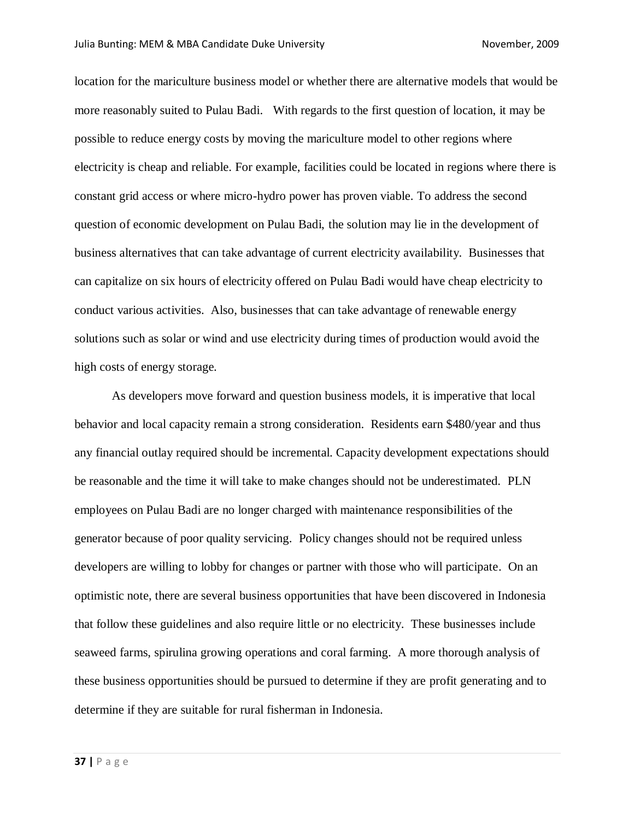location for the mariculture business model or whether there are alternative models that would be more reasonably suited to Pulau Badi. With regards to the first question of location, it may be possible to reduce energy costs by moving the mariculture model to other regions where electricity is cheap and reliable. For example, facilities could be located in regions where there is constant grid access or where micro-hydro power has proven viable. To address the second question of economic development on Pulau Badi, the solution may lie in the development of business alternatives that can take advantage of current electricity availability. Businesses that can capitalize on six hours of electricity offered on Pulau Badi would have cheap electricity to conduct various activities. Also, businesses that can take advantage of renewable energy solutions such as solar or wind and use electricity during times of production would avoid the high costs of energy storage.

As developers move forward and question business models, it is imperative that local behavior and local capacity remain a strong consideration. Residents earn \$480/year and thus any financial outlay required should be incremental. Capacity development expectations should be reasonable and the time it will take to make changes should not be underestimated. PLN employees on Pulau Badi are no longer charged with maintenance responsibilities of the generator because of poor quality servicing. Policy changes should not be required unless developers are willing to lobby for changes or partner with those who will participate. On an optimistic note, there are several business opportunities that have been discovered in Indonesia that follow these guidelines and also require little or no electricity. These businesses include seaweed farms, spirulina growing operations and coral farming. A more thorough analysis of these business opportunities should be pursued to determine if they are profit generating and to determine if they are suitable for rural fisherman in Indonesia.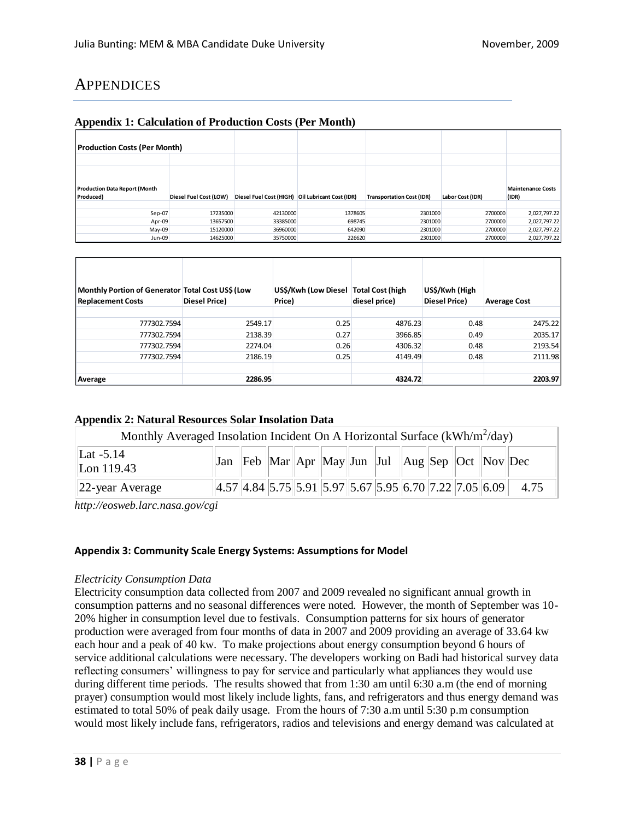## **APPENDICES**

#### **Appendix 1: Calculation of Production Costs (Per Month)**

| <b>Production Costs (Per Month)</b>               |                        |                                                  |         |                                  |                  |                                   |
|---------------------------------------------------|------------------------|--------------------------------------------------|---------|----------------------------------|------------------|-----------------------------------|
|                                                   |                        |                                                  |         |                                  |                  |                                   |
| <b>Production Data Report (Month</b><br>Produced) | Diesel Fuel Cost (LOW) | Diesel Fuel Cost (HIGH) Oil Lubricant Cost (IDR) |         | <b>Transportation Cost (IDR)</b> | Labor Cost (IDR) | <b>Maintenance Costs</b><br>(IDR) |
|                                                   |                        |                                                  |         |                                  |                  |                                   |
| Sep-07                                            | 17235000               | 42130000                                         | 1378605 | 2301000                          | 2700000          | 2,027,797.22                      |
| Apr-09                                            | 13657500               | 33385000                                         | 698745  | 2301000                          | 2700000          | 2,027,797.22                      |
| $May-09$                                          | 15120000               | 36960000                                         | 642090  | 2301000                          | 2700000          | 2,027,797.22                      |
| Jun-09                                            | 14625000               | 35750000                                         | 226620  | 2301000                          | 2700000          | 2,027,797.22                      |

| Monthly Portion of Generator   Total Cost US\$ (Low<br><b>Replacement Costs</b> | <b>Diesel Price)</b> | US\$/Kwh (Low Diesel<br>Price) | <b>Total Cost (high</b><br>diesel price) | US\$/Kwh (High<br>Diesel Price) | <b>Average Cost</b> |
|---------------------------------------------------------------------------------|----------------------|--------------------------------|------------------------------------------|---------------------------------|---------------------|
| 777302.7594                                                                     | 2549.17              | 0.25                           | 4876.23                                  | 0.48                            | 2475.22             |
| 777302.7594                                                                     | 2138.39              | 0.27                           | 3966.85                                  | 0.49                            | 2035.17             |
| 777302.7594                                                                     | 2274.04              | 0.26                           | 4306.32                                  | 0.48                            | 2193.54             |
| 777302.7594                                                                     | 2186.19              | 0.25                           | 4149.49                                  | 0.48                            | 2111.98             |
|                                                                                 |                      |                                |                                          |                                 |                     |
| Average                                                                         | 2286.95              |                                | 4324.72                                  |                                 | 2203.97             |

#### **Appendix 2: Natural Resources Solar Insolation Data**

| Monthly Averaged Insolation Incident On A Horizontal Surface ( $kWh/m^2/day$ ) |  |  |  |  |  |  |  |  |  |  |                                                                                                                                   |
|--------------------------------------------------------------------------------|--|--|--|--|--|--|--|--|--|--|-----------------------------------------------------------------------------------------------------------------------------------|
| Lat $-5.14$<br>Lon 119.43                                                      |  |  |  |  |  |  |  |  |  |  |                                                                                                                                   |
| $ 22$ -year Average                                                            |  |  |  |  |  |  |  |  |  |  | $\left 4.57\right 4.84\left 5.75\right 5.91\left 5.97\right 5.67\left 5.95\right 6.70\left 7.22\right 7.05\left 6.09\right $ 4.75 |

*http://eosweb.larc.nasa.gov/cgi*

#### **Appendix 3: Community Scale Energy Systems: Assumptions for Model**

#### *Electricity Consumption Data*

Electricity consumption data collected from 2007 and 2009 revealed no significant annual growth in consumption patterns and no seasonal differences were noted. However, the month of September was 10- 20% higher in consumption level due to festivals. Consumption patterns for six hours of generator production were averaged from four months of data in 2007 and 2009 providing an average of 33.64 kw each hour and a peak of 40 kw. To make projections about energy consumption beyond 6 hours of service additional calculations were necessary. The developers working on Badi had historical survey data reflecting consumers' willingness to pay for service and particularly what appliances they would use during different time periods. The results showed that from 1:30 am until 6:30 a.m (the end of morning prayer) consumption would most likely include lights, fans, and refrigerators and thus energy demand was estimated to total 50% of peak daily usage. From the hours of 7:30 a.m until 5:30 p.m consumption would most likely include fans, refrigerators, radios and televisions and energy demand was calculated at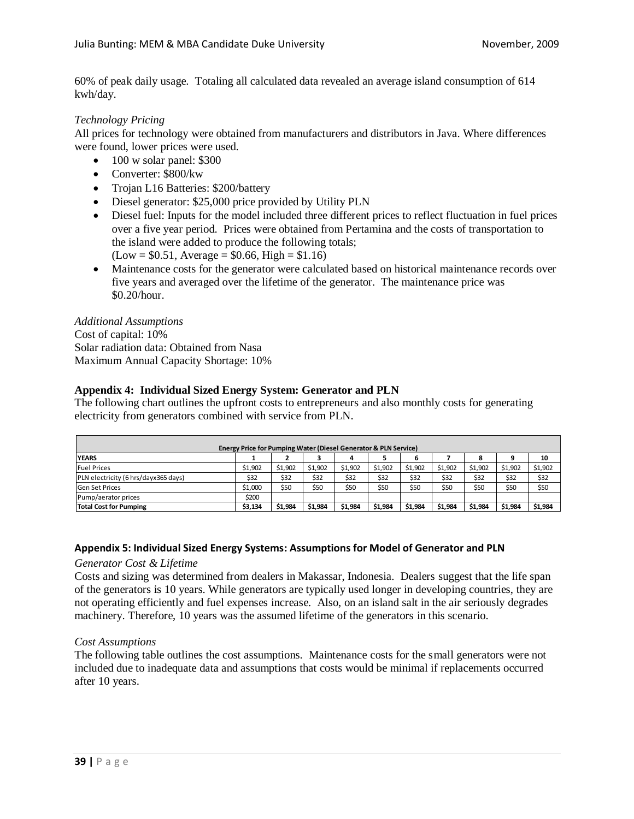60% of peak daily usage. Totaling all calculated data revealed an average island consumption of 614 kwh/day.

#### *Technology Pricing*

All prices for technology were obtained from manufacturers and distributors in Java. Where differences were found, lower prices were used.

- $\bullet$  100 w solar panel: \$300
- Converter: \$800/kw
- Trojan L16 Batteries: \$200/battery
- Diesel generator: \$25,000 price provided by Utility PLN
- Diesel fuel: Inputs for the model included three different prices to reflect fluctuation in fuel prices over a five year period. Prices were obtained from Pertamina and the costs of transportation to the island were added to produce the following totals;  $(Low = $0.51, Average = $0.66, High = $1.16)$
- Maintenance costs for the generator were calculated based on historical maintenance records over five years and averaged over the lifetime of the generator. The maintenance price was \$0.20/hour.

#### *Additional Assumptions*

Cost of capital: 10% Solar radiation data: Obtained from Nasa Maximum Annual Capacity Shortage: 10%

#### **Appendix 4: Individual Sized Energy System: Generator and PLN**

The following chart outlines the upfront costs to entrepreneurs and also monthly costs for generating electricity from generators combined with service from PLN.

| Energy Price for Pumping Water (Diesel Generator & PLN Service) |         |         |         |         |         |         |         |         |         |         |  |
|-----------------------------------------------------------------|---------|---------|---------|---------|---------|---------|---------|---------|---------|---------|--|
| 10<br><b>YEARS</b><br>8<br>6                                    |         |         |         |         |         |         |         |         |         |         |  |
| <b>Fuel Prices</b>                                              | \$1.902 | \$1.902 | \$1.902 | \$1.902 | \$1,902 | \$1,902 | \$1,902 | \$1,902 | \$1,902 | \$1,902 |  |
| PLN electricity (6 hrs/dayx365 days)                            | \$32    | \$32    | \$32    | \$32    | \$32    | \$32    | \$32    | \$32    | \$32    | \$32    |  |
| <b>Gen Set Prices</b>                                           | \$1,000 | \$50    | \$50    | \$50    | \$50    | \$50    | \$50    | \$50    | \$50    | \$50    |  |
| Pump/aerator prices                                             | \$200   |         |         |         |         |         |         |         |         |         |  |
| <b>Total Cost for Pumping</b>                                   | \$3,134 | \$1,984 | \$1,984 | \$1,984 | \$1,984 | \$1,984 | \$1,984 | \$1,984 | \$1,984 | \$1,984 |  |

#### **Appendix 5: Individual Sized Energy Systems: Assumptions for Model of Generator and PLN**

#### *Generator Cost & Lifetime*

Costs and sizing was determined from dealers in Makassar, Indonesia. Dealers suggest that the life span of the generators is 10 years. While generators are typically used longer in developing countries, they are not operating efficiently and fuel expenses increase. Also, on an island salt in the air seriously degrades machinery. Therefore, 10 years was the assumed lifetime of the generators in this scenario.

#### *Cost Assumptions*

The following table outlines the cost assumptions. Maintenance costs for the small generators were not included due to inadequate data and assumptions that costs would be minimal if replacements occurred after 10 years.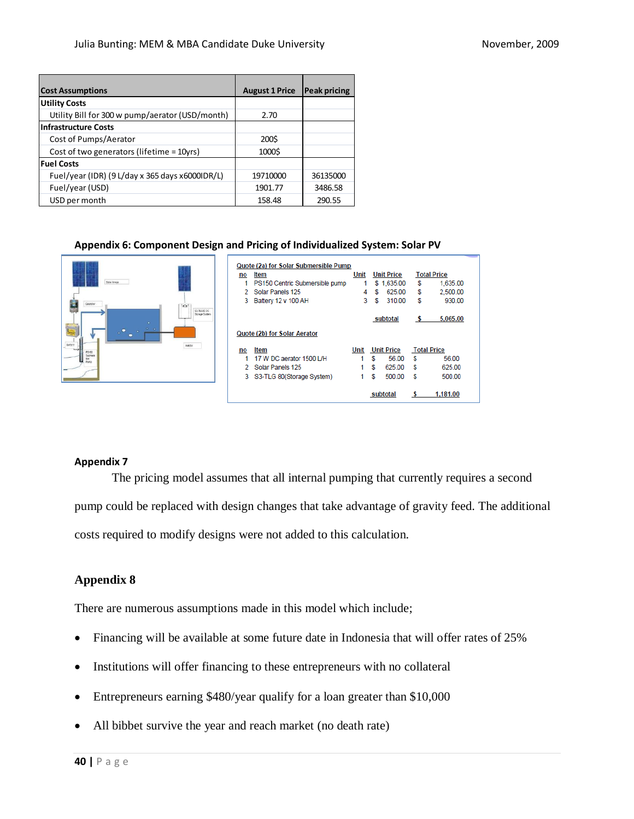| <b>Cost Assumptions</b>                         | <b>August 1 Price</b> | <b>Peak pricing</b> |
|-------------------------------------------------|-----------------------|---------------------|
| <b>Utility Costs</b>                            |                       |                     |
| Utility Bill for 300 w pump/aerator (USD/month) | 2.70                  |                     |
| <b>Infrastructure Costs</b>                     |                       |                     |
| Cost of Pumps/Aerator                           | 200\$                 |                     |
| Cost of two generators (lifetime = 10yrs)       | 1000\$                |                     |
| <b>Fuel Costs</b>                               |                       |                     |
| Fuel/year (IDR) (9 L/day x 365 days x6000IDR/L) | 19710000              | 36135000            |
| Fuel/year (USD)                                 | 1901.77               | 3486.58             |
| USD per month                                   | 158.48                | 290.55              |

#### **Appendix 6: Component Design and Pricing of Individualized System: Solar PV**

| Sciar Arrest<br>Costroller<br><b>SCAFT</b><br>S3-TLG80 DC<br>Storage System | no | Quote (2a) for Solar Submersible Pump<br>Item<br>PS150 Centric Submersible pump<br>2 Solar Panels 125<br>3 Battery 12 v 100 AH | Unit<br>4<br>3 | S | <b>Unit Price</b><br>\$1,635.00<br>625.00<br>310.00 | \$<br>\$<br>\$ | <b>Total Price</b><br>1,635.00<br>2,500.00<br>930.00 |
|-----------------------------------------------------------------------------|----|--------------------------------------------------------------------------------------------------------------------------------|----------------|---|-----------------------------------------------------|----------------|------------------------------------------------------|
| $\sim$<br><b>STATISTICS</b><br>$\bullet$<br>$\bullet$<br>Battery<br>Aestor  |    | Quote (2b) for Solar Aerator                                                                                                   |                |   | subtotal                                            | s              | 5,065.00                                             |
| PS150                                                                       | no | Item                                                                                                                           | Unit           |   | <b>Unit Price</b>                                   |                | <b>Total Price</b>                                   |
| Submers<br>ille<br>Pyno                                                     |    | 17 W DC aerator 1500 L/H                                                                                                       |                | S | 56.00                                               | S              | 56.00                                                |
|                                                                             |    | 2 Solar Panels 125                                                                                                             |                | S | 625.00                                              | s              | 625.00                                               |
|                                                                             |    | 3 S3-TLG 80(Storage System)                                                                                                    |                | S | 500.00                                              | s              | 500.00                                               |
|                                                                             |    |                                                                                                                                |                |   | subtotal                                            |                | 1.181.00                                             |

#### **Appendix 7**

The pricing model assumes that all internal pumping that currently requires a second pump could be replaced with design changes that take advantage of gravity feed. The additional costs required to modify designs were not added to this calculation.

## **Appendix 8**

There are numerous assumptions made in this model which include;

- Financing will be available at some future date in Indonesia that will offer rates of 25%
- Institutions will offer financing to these entrepreneurs with no collateral
- Entrepreneurs earning \$480/year qualify for a loan greater than \$10,000
- All bibbet survive the year and reach market (no death rate)